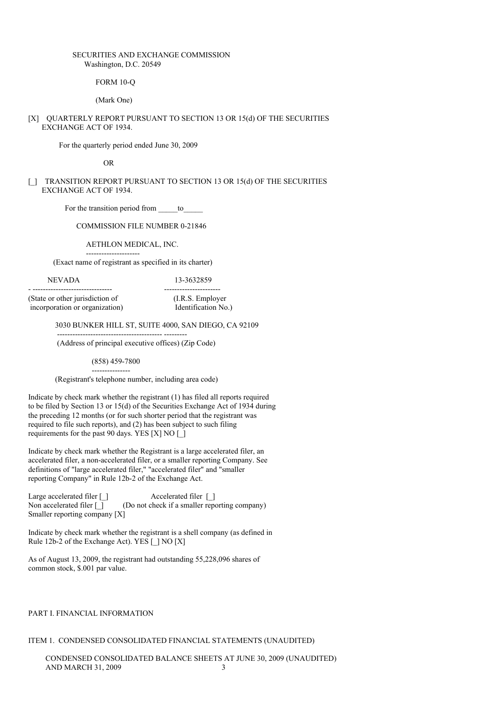## SECURITIES AND EXCHANGE COMMISSION Washington, D.C. 20549

FORM 10-Q

(Mark One)

[X] QUARTERLY REPORT PURSUANT TO SECTION 13 OR 15(d) OF THE SECURITIES EXCHANGE ACT OF 1934.

For the quarterly period ended June 30, 2009

OR

## [\_] TRANSITION REPORT PURSUANT TO SECTION 13 OR 15(d) OF THE SECURITIES EXCHANGE ACT OF 1934.

For the transition period from to

# COMMISSION FILE NUMBER 0-21846

AETHLON MEDICAL, INC.

--------------------- (Exact name of registrant as specified in its charter)

#### NEVADA 13-3632859

- ------------------------------- ---------------------- (State or other jurisdiction of (I.R.S. Employer incorporation or organization) Identification No.)

3030 BUNKER HILL ST, SUITE 4000, SAN DIEGO, CA 92109

(Address of principal executive offices) (Zip Code)

----------------------------------------- ---------

(858) 459-7800

--------------- (Registrant's telephone number, including area code)

Indicate by check mark whether the registrant (1) has filed all reports required to be filed by Section 13 or 15(d) of the Securities Exchange Act of 1934 during the preceding 12 months (or for such shorter period that the registrant was required to file such reports), and (2) has been subject to such filing requirements for the past 90 days. YES [X] NO [\_]

Indicate by check mark whether the Registrant is a large accelerated filer, an accelerated filer, a non-accelerated filer, or a smaller reporting Company. See definitions of "large accelerated filer," "accelerated filer" and "smaller reporting Company" in Rule 12b-2 of the Exchange Act.

Large accelerated filer [\_] <br>Accelerated filer [\_] Non accelerated filer  $\Box$  (Do not check if a smaller reporting company) Smaller reporting company [X]

Indicate by check mark whether the registrant is a shell company (as defined in Rule 12b-2 of the Exchange Act). YES [ ] NO [X]

As of August 13, 2009, the registrant had outstanding 55,228,096 shares of common stock, \$.001 par value.

### PART I. FINANCIAL INFORMATION

## ITEM 1. CONDENSED CONSOLIDATED FINANCIAL STATEMENTS (UNAUDITED)

CONDENSED CONSOLIDATED BALANCE SHEETS AT JUNE 30, 2009 (UNAUDITED) AND MARCH 31, 2009 3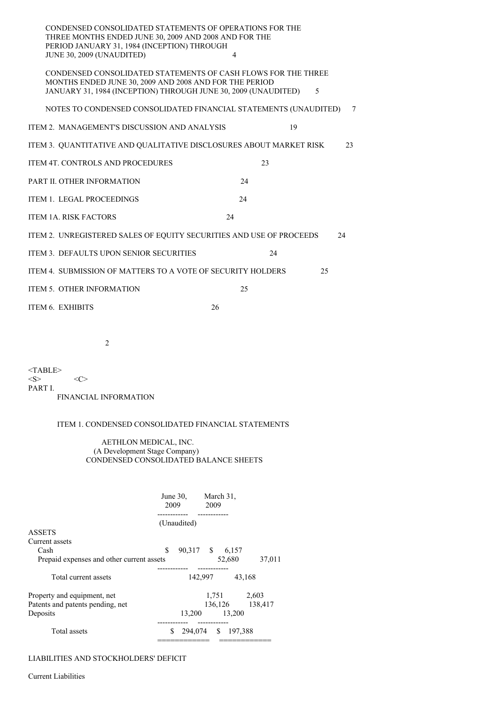| CONDENSED CONSOLIDATED STATEMENTS OF OPERATIONS FOR THE<br>THREE MONTHS ENDED JUNE 30, 2009 AND 2008 AND FOR THE<br>PERIOD JANUARY 31, 1984 (INCEPTION) THROUGH                           | $\overline{\mathcal{L}}$ |    |    |        |
|-------------------------------------------------------------------------------------------------------------------------------------------------------------------------------------------|--------------------------|----|----|--------|
| JUNE 30, 2009 (UNAUDITED)                                                                                                                                                                 |                          |    |    |        |
| CONDENSED CONSOLIDATED STATEMENTS OF CASH FLOWS FOR THE THREE<br>MONTHS ENDED JUNE 30, 2009 AND 2008 AND FOR THE PERIOD<br>JANUARY 31, 1984 (INCEPTION) THROUGH JUNE 30, 2009 (UNAUDITED) |                          |    | 5  |        |
| NOTES TO CONDENSED CONSOLIDATED FINANCIAL STATEMENTS (UNAUDITED)                                                                                                                          |                          |    |    | $\tau$ |
| ITEM 2. MANAGEMENT'S DISCUSSION AND ANALYSIS                                                                                                                                              |                          | 19 |    |        |
| ITEM 3. QUANTITATIVE AND QUALITATIVE DISCLOSURES ABOUT MARKET RISK                                                                                                                        |                          |    |    | 23     |
| <b>ITEM 4T. CONTROLS AND PROCEDURES</b>                                                                                                                                                   |                          | 23 |    |        |
| PART II. OTHER INFORMATION                                                                                                                                                                | 24                       |    |    |        |
| <b>ITEM 1. LEGAL PROCEEDINGS</b>                                                                                                                                                          | 24                       |    |    |        |
| ITEM 1A. RISK FACTORS                                                                                                                                                                     | 24                       |    |    |        |
| ITEM 2. UNREGISTERED SALES OF EQUITY SECURITIES AND USE OF PROCEEDS                                                                                                                       |                          |    |    | 24     |
| ITEM 3. DEFAULTS UPON SENIOR SECURITIES                                                                                                                                                   |                          | 24 |    |        |
| ITEM 4. SUBMISSION OF MATTERS TO A VOTE OF SECURITY HOLDERS                                                                                                                               |                          |    | 25 |        |
| ITEM 5. OTHER INFORMATION                                                                                                                                                                 | 25                       |    |    |        |
| ITEM 6. EXHIBITS                                                                                                                                                                          | 26                       |    |    |        |
|                                                                                                                                                                                           |                          |    |    |        |

2

 $<$ TABLE> $<$ S>  $\langle C \rangle$ PART I. FINANCIAL INFORMATION

# ITEM 1. CONDENSED CONSOLIDATED FINANCIAL STATEMENTS

## AETHLON MEDICAL, INC. (A Development Stage Company) CONDENSED CONSOLIDATED BALANCE SHEETS

|                                           | June $30$ ,<br>2009<br>--------- |                 | 2009                 | March 31,          |                 |
|-------------------------------------------|----------------------------------|-----------------|----------------------|--------------------|-----------------|
|                                           |                                  | (Unaudited)     |                      |                    |                 |
| <b>ASSETS</b>                             |                                  |                 |                      |                    |                 |
| Current assets                            |                                  |                 |                      |                    |                 |
| Cash                                      | \$                               | 90,317 \$ 6,157 |                      |                    |                 |
| Prepaid expenses and other current assets |                                  |                 |                      | 52,680             | 37,011          |
| Total current assets                      |                                  |                 | ---------<br>142,997 |                    | 43.168          |
| Property and equipment, net               |                                  |                 |                      | 1,751              | 2,603           |
| Patents and patents pending, net          |                                  |                 |                      |                    | 136,126 138,417 |
| Deposits                                  |                                  | 13,200          |                      | 13,200             |                 |
| Total assets                              | ----------<br>S                  |                 | ------------         | 294,074 \$ 197,388 |                 |

# LIABILITIES AND STOCKHOLDERS' DEFICIT

Current Liabilities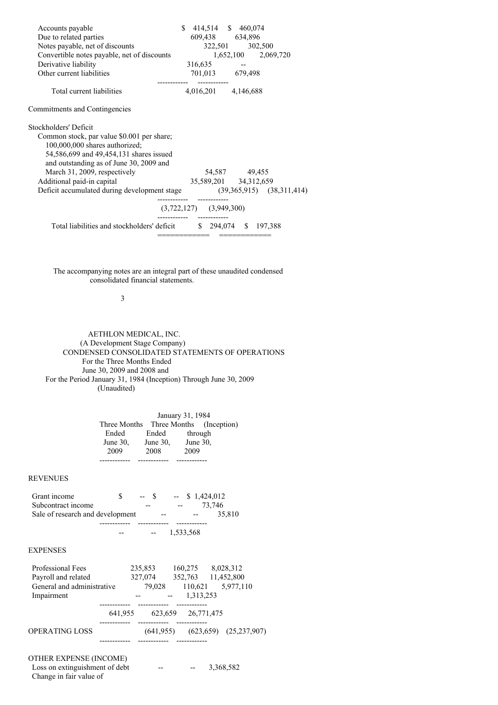| Accounts payable<br>Due to related parties<br>Notes payable, net of discounts<br>Convertible notes payable, net of discounts<br>Derivative liability<br>Other current liabilities                                                                                                                                                   | 316,635                                                 | \$ 414,514 \$ 460,074<br>609,438 634,896<br>322,501 302,500<br>1,652,100 2,069,720 |  |
|-------------------------------------------------------------------------------------------------------------------------------------------------------------------------------------------------------------------------------------------------------------------------------------------------------------------------------------|---------------------------------------------------------|------------------------------------------------------------------------------------|--|
|                                                                                                                                                                                                                                                                                                                                     |                                                         | 701,013 679,498                                                                    |  |
| Total current liabilities                                                                                                                                                                                                                                                                                                           |                                                         | 4,016,201 4,146,688                                                                |  |
| <b>Commitments and Contingencies</b>                                                                                                                                                                                                                                                                                                |                                                         |                                                                                    |  |
| Stockholders' Deficit<br>Common stock, par value \$0.001 per share;<br>100,000,000 shares authorized;<br>54,586,699 and 49,454,131 shares issued<br>and outstanding as of June 30, 2009 and<br>March 31, 2009, respectively<br>Additional paid-in capital<br>Deficit accumulated during development stage (39,365,915) (38,311,414) |                                                         | 54,587 49,455<br>35,589,201 34,312,659                                             |  |
|                                                                                                                                                                                                                                                                                                                                     | ---------           ----<br>$(3,722,127)$ $(3,949,300)$ |                                                                                    |  |
| Total liabilities and stockholders' deficit                                                                                                                                                                                                                                                                                         |                                                         | \$ 294,074 \$ 197,388                                                              |  |

The accompanying notes are an integral part of these unaudited condensed consolidated financial statements.

# 3

AETHLON MEDICAL, INC. (A Development Stage Company) CONDENSED CONSOLIDATED STATEMENTS OF OPERATIONS For the Three Months Ended June 30, 2009 and 2008 and For the Period January 31, 1984 (Inception) Through June 30, 2009 (Unaudited)

|              |          | January 31, 1984 |                          |  |  |  |  |  |
|--------------|----------|------------------|--------------------------|--|--|--|--|--|
| Three Months |          |                  | Three Months (Inception) |  |  |  |  |  |
| Ended        | Ended    | through          |                          |  |  |  |  |  |
| June 30,     | June 30, | June 30,         |                          |  |  |  |  |  |
| 2009         | 2008     | 2009             |                          |  |  |  |  |  |
|              |          |                  |                          |  |  |  |  |  |

-- -- 1,533,568

## REVENUES

| Grant income                     | $-$ S |       |       | $-$ \$ 1,424,012 |        |
|----------------------------------|-------|-------|-------|------------------|--------|
| Subcontract income               | --    |       | $- -$ | 73.746           |        |
| Sale of research and development |       | $- -$ |       | $- -$            | 35,810 |
|                                  |       |       |       |                  |        |

## EXPENSES

| Professional Fees          |         | 235,853   | 160,275    | 8,028,312                     |  |
|----------------------------|---------|-----------|------------|-------------------------------|--|
| Payroll and related        |         | 327,074   | 352,763    | 11,452,800                    |  |
| General and administrative |         | 79,028    | 110,621    | 5,977,110                     |  |
| Impairment                 |         |           | 1,313,253  |                               |  |
|                            |         |           |            |                               |  |
|                            | 641,955 | 623,659   | 26,771,475 |                               |  |
|                            |         |           |            |                               |  |
| OPERATING LOSS             |         | (641.955) |            | $(623, 659)$ $(25, 237, 907)$ |  |
|                            |         |           |            |                               |  |
|                            |         |           |            |                               |  |

# OTHER EXPENSE (INCOME)

| Loss on extinguishment of debt | -- | $\qquad \qquad -$ | 3,368,582 |
|--------------------------------|----|-------------------|-----------|
| Change in fair value of        |    |                   |           |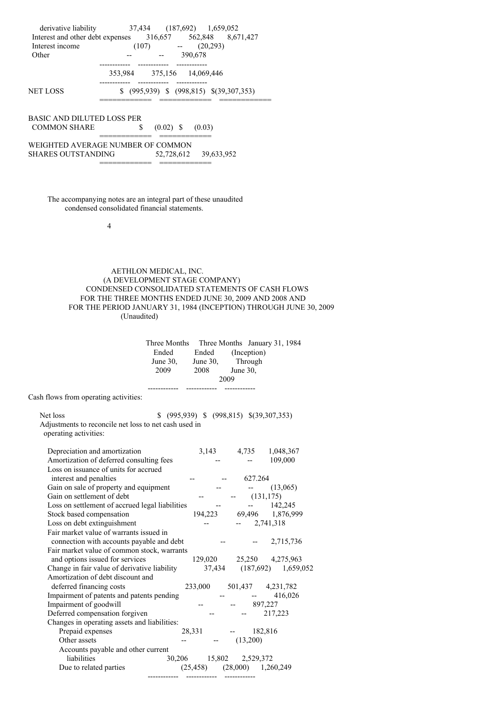| derivative liability<br>Interest and other debt expenses<br>Interest income<br>Other | 37,434 (187,692) 1,659,052<br>316,657 562,848 8,671,427<br>(20, 293)<br>(107)<br><b>Contract Contract State</b><br>390,678 |
|--------------------------------------------------------------------------------------|----------------------------------------------------------------------------------------------------------------------------|
|                                                                                      | 353,984 375,156 14,069,446                                                                                                 |
| <b>NET LOSS</b>                                                                      | $(995,939)$ \$ $(998,815)$ \$ $(39,307,353)$                                                                               |
| <b>BASIC AND DILUTED LOSS PER</b><br><b>COMMON SHARE</b>                             | \$<br>$(0.02)$ \$<br>(0.03)                                                                                                |
|                                                                                      | WEIGHTED AVERAGE NUMBER OF COMMON                                                                                          |
| <b>SHARES OUTSTANDING</b>                                                            | 52,728,612 39,633,952                                                                                                      |

The accompanying notes are an integral part of these unaudited condensed consolidated financial statements.

4

# AETHLON MEDICAL, INC. (A DEVELOPMENT STAGE COMPANY) CONDENSED CONSOLIDATED STATEMENTS OF CASH FLOWS FOR THE THREE MONTHS ENDED JUNE 30, 2009 AND 2008 AND FOR THE PERIOD JANUARY 31, 1984 (INCEPTION) THROUGH JUNE 30, 2009 (Unaudited)

|                                                                                                                    | Ended<br>June $30$ , | une 30, June 30, Through<br>2009 2008 June 30, | Ended (Inception)<br>2009                                           | Three Months Three Months January 31, 1984 |  |
|--------------------------------------------------------------------------------------------------------------------|----------------------|------------------------------------------------|---------------------------------------------------------------------|--------------------------------------------|--|
| Cash flows from operating activities:                                                                              |                      |                                                |                                                                     |                                            |  |
| Net loss<br>Adjustments to reconcile net loss to net cash used in<br>operating activities:                         |                      | \$ (995,939) \$ (998,815) \$ (39,307,353)      |                                                                     |                                            |  |
| Depreciation and amortization<br>Amortization of deferred consulting fees                                          |                      |                                                |                                                                     | 3,143 4,735 1,048,367<br>109,000           |  |
| Loss on issuance of units for accrued<br>interest and penalties                                                    |                      |                                                | $-627.264$                                                          |                                            |  |
| Gain on sale of property and equipment<br>Gain on settlement of debt                                               |                      |                                                | <b>Contract Contract</b><br>$  (131,175)$                           | (13,065)                                   |  |
| Loss on settlement of accrued legal liabilities                                                                    |                      |                                                |                                                                     | $-142,245$                                 |  |
| Stock based compensation                                                                                           |                      |                                                |                                                                     | 194,223 69,496 1,876,999                   |  |
| Loss on debt extinguishment                                                                                        |                      |                                                | $-2,741,318$                                                        |                                            |  |
| Fair market value of warrants issued in                                                                            |                      |                                                |                                                                     |                                            |  |
| connection with accounts payable and debt                                                                          |                      |                                                |                                                                     | $-2,715,736$                               |  |
| Fair market value of common stock, warrants                                                                        |                      |                                                |                                                                     |                                            |  |
| and options issued for services                                                                                    |                      |                                                |                                                                     | 129,020 25,250 4,275,963                   |  |
| Change in fair value of derivative liability $37,434$ $(187,692)$ $1,659,052$<br>Amortization of debt discount and |                      |                                                |                                                                     |                                            |  |
| deferred financing costs                                                                                           |                      | 233,000 501,437 4,231,782                      |                                                                     |                                            |  |
| Impairment of patents and patents pending                                                                          |                      |                                                | $\frac{1}{2}$ and $\frac{1}{2}$ are $\frac{1}{2}$ and $\frac{1}{2}$ | 416,026                                    |  |
| Impairment of goodwill                                                                                             |                      |                                                | $-897,227$                                                          |                                            |  |
| Deferred compensation forgiven                                                                                     |                      |                                                |                                                                     | 217,223                                    |  |
| Changes in operating assets and liabilities:                                                                       |                      |                                                |                                                                     |                                            |  |
| Prepaid expenses                                                                                                   |                      | 28,331 - 182,816                               |                                                                     |                                            |  |
| Other assets                                                                                                       |                      | $  (13,200)$                                   |                                                                     |                                            |  |
| Accounts payable and other current                                                                                 |                      |                                                |                                                                     |                                            |  |
| liabilities                                                                                                        |                      | 30,206 15,802 2,529,372                        |                                                                     |                                            |  |
| Due to related parties                                                                                             |                      | $(25,458)$ $(28,000)$ $1,260,249$              |                                                                     |                                            |  |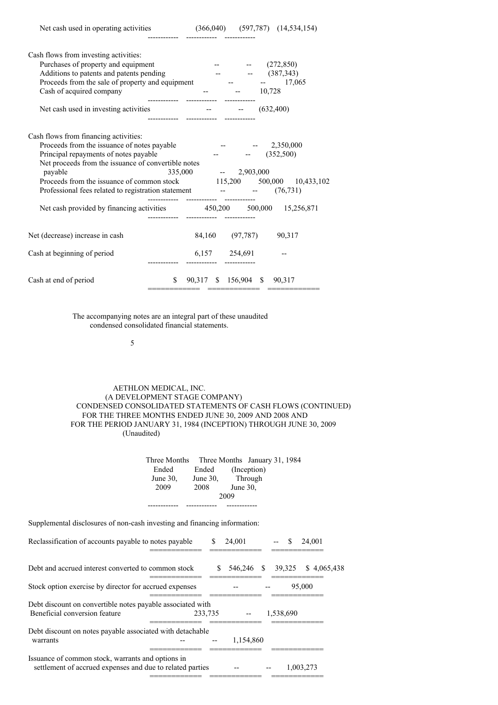| Cash flows from investing activities:<br>Purchases of property and equipment<br>Additions to patents and patents pending<br>Proceeds from the sale of property and equipment<br>Cash of acquired company                                                                                                                                               | $  (272,850)$<br>$ (387,343)$<br>$  17,065$<br>$  10,728$                                                                                                              |
|--------------------------------------------------------------------------------------------------------------------------------------------------------------------------------------------------------------------------------------------------------------------------------------------------------------------------------------------------------|------------------------------------------------------------------------------------------------------------------------------------------------------------------------|
| Net cash used in investing activities -- - - - (632,400)                                                                                                                                                                                                                                                                                               |                                                                                                                                                                        |
| Cash flows from financing activities:<br>Proceeds from the issuance of notes payable<br>Principal repayments of notes payable<br>Net proceeds from the issuance of convertible notes<br>payable<br>Professional fees related to registration statement -- - - - (76,731)<br>Net cash provided by financing activities $450,200$ $500,000$ $15,256,871$ | $-2,350,000$<br>$  (352,500)$<br>$335,000$ -- 2,903,000<br>Proceeds from the issuance of common stock 115,200 500,000 10,433,102<br>--------  ------------  ---------- |
| Net (decrease) increase in cash                                                                                                                                                                                                                                                                                                                        | 84,160 (97,787) 90,317                                                                                                                                                 |
| Cash at beginning of period                                                                                                                                                                                                                                                                                                                            | 6,157 254,691                                                                                                                                                          |
| Cash at end of period                                                                                                                                                                                                                                                                                                                                  | $$90,317$ \$ 156,904 \$ 90,317<br>_____________                                                                                                                        |

------------ ------------ ------------

The accompanying notes are an integral part of these unaudited condensed consolidated financial statements.

5

## AETHLON MEDICAL, INC. (A DEVELOPMENT STAGE COMPANY) CONDENSED CONSOLIDATED STATEMENTS OF CASH FLOWS (CONTINUED) FOR THE THREE MONTHS ENDED JUNE 30, 2009 AND 2008 AND FOR THE PERIOD JANUARY 31, 1984 (INCEPTION) THROUGH JUNE 30, 2009 (Unaudited)

|             |             |             | Three Months Three Months January 31, 1984 |  |  |  |
|-------------|-------------|-------------|--------------------------------------------|--|--|--|
| Ended       | Ended       |             | (Inception)                                |  |  |  |
| June $30$ . | June $30$ , |             | Through                                    |  |  |  |
| 2009        | 2008        | June $30$ , |                                            |  |  |  |
| 2009        |             |             |                                            |  |  |  |
|             |             |             |                                            |  |  |  |

Supplemental disclosures of non-cash investing and financing information:

| Reclassification of accounts payable to notes payable                                                          | S       | 24,001     |  | \$.       | 24,001      |  |
|----------------------------------------------------------------------------------------------------------------|---------|------------|--|-----------|-------------|--|
| Debt and accrued interest converted to common stock                                                            |         | 546,246 \$ |  | 39,325    | \$4,065,438 |  |
| Stock option exercise by director for accrued expenses                                                         |         |            |  |           | 95,000      |  |
| Debt discount on convertible notes payable associated with<br>Beneficial conversion feature                    | 233.735 |            |  | 1,538,690 |             |  |
| Debt discount on notes payable associated with detachable<br>warrants                                          |         | 1,154,860  |  |           |             |  |
| Issuance of common stock, warrants and options in<br>settlement of accrued expenses and due to related parties |         |            |  |           | 1,003,273   |  |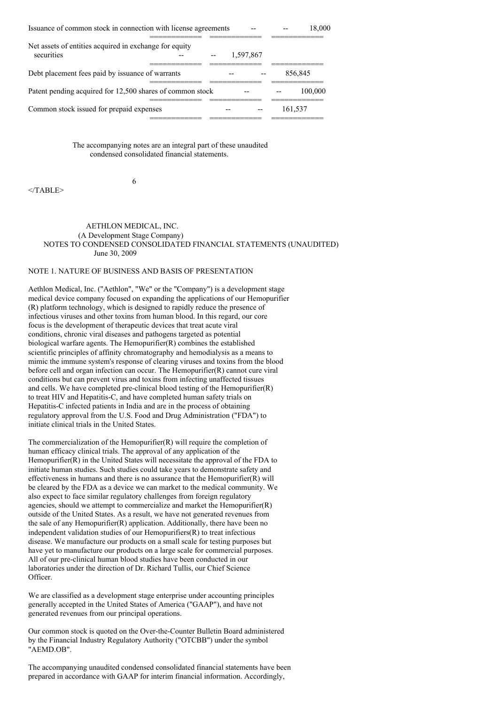| Issuance of common stock in connection with license agreements       |  |           |         | 18.000  |
|----------------------------------------------------------------------|--|-----------|---------|---------|
| Net assets of entities acquired in exchange for equity<br>securities |  | 1.597.867 |         |         |
| Debt placement fees paid by issuance of warrants                     |  |           |         | 856,845 |
| Patent pending acquired for 12,500 shares of common stock            |  |           |         | 100,000 |
| Common stock issued for prepaid expenses                             |  |           | 161,537 |         |

The accompanying notes are an integral part of these unaudited condensed consolidated financial statements.

</TABLE>

# AETHLON MEDICAL, INC. (A Development Stage Company) NOTES TO CONDENSED CONSOLIDATED FINANCIAL STATEMENTS (UNAUDITED) June 30, 2009

# NOTE 1. NATURE OF BUSINESS AND BASIS OF PRESENTATION

6

Aethlon Medical, Inc. ("Aethlon", "We" or the "Company") is a development stage medical device company focused on expanding the applications of our Hemopurifier (R) platform technology, which is designed to rapidly reduce the presence of infectious viruses and other toxins from human blood. In this regard, our core focus is the development of therapeutic devices that treat acute viral conditions, chronic viral diseases and pathogens targeted as potential biological warfare agents. The Hemopurifier(R) combines the established scientific principles of affinity chromatography and hemodialysis as a means to mimic the immune system's response of clearing viruses and toxins from the blood before cell and organ infection can occur. The Hemopurifier(R) cannot cure viral conditions but can prevent virus and toxins from infecting unaffected tissues and cells. We have completed pre-clinical blood testing of the Hemopurifier(R) to treat HIV and Hepatitis-C, and have completed human safety trials on Hepatitis-C infected patients in India and are in the process of obtaining regulatory approval from the U.S. Food and Drug Administration ("FDA") to initiate clinical trials in the United States.

The commercialization of the Hemopurifier(R) will require the completion of human efficacy clinical trials. The approval of any application of the Hemopurifier(R) in the United States will necessitate the approval of the FDA to initiate human studies. Such studies could take years to demonstrate safety and effectiveness in humans and there is no assurance that the Hemopurifier(R) will be cleared by the FDA as a device we can market to the medical community. We also expect to face similar regulatory challenges from foreign regulatory agencies, should we attempt to commercialize and market the Hemopurifier(R) outside of the United States. As a result, we have not generated revenues from the sale of any Hemopurifier(R) application. Additionally, there have been no independent validation studies of our Hemopurifiers(R) to treat infectious disease. We manufacture our products on a small scale for testing purposes but have yet to manufacture our products on a large scale for commercial purposes. All of our pre-clinical human blood studies have been conducted in our laboratories under the direction of Dr. Richard Tullis, our Chief Science Officer.

We are classified as a development stage enterprise under accounting principles generally accepted in the United States of America ("GAAP"), and have not generated revenues from our principal operations.

Our common stock is quoted on the Over-the-Counter Bulletin Board administered by the Financial Industry Regulatory Authority ("OTCBB") under the symbol "AEMD.OB".

The accompanying unaudited condensed consolidated financial statements have been prepared in accordance with GAAP for interim financial information. Accordingly,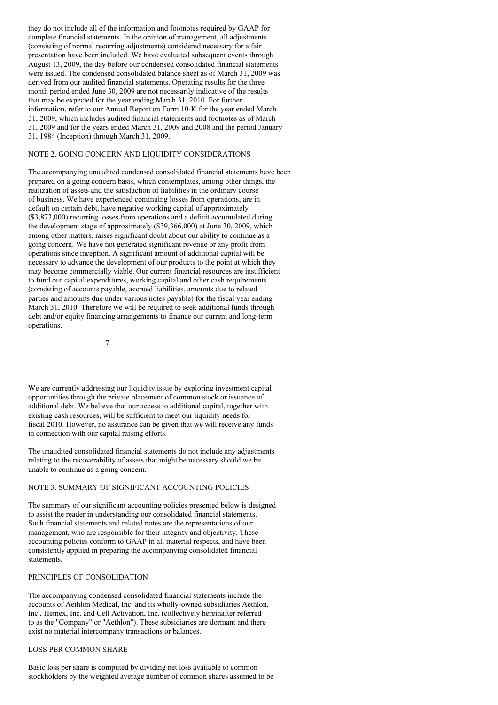they do not include all of the information and footnotes required by GAAP for complete financial statements. In the opinion of management, all adjustments (consisting of normal recurring adjustments) considered necessary for a fair presentation have been included. We have evaluated subsequent events through August 13, 2009, the day before our condensed consolidated financial statements were issued. The condensed consolidated balance sheet as of March 31, 2009 was derived from our audited financial statements. Operating results for the three month period ended June 30, 2009 are not necessarily indicative of the results that may be expected for the year ending March 31, 2010. For further information, refer to our Annual Report on Form 10-K for the year ended March 31, 2009, which includes audited financial statements and footnotes as of March 31, 2009 and for the years ended March 31, 2009 and 2008 and the period January 31, 1984 (Inception) through March 31, 2009.

## NOTE 2. GOING CONCERN AND LIQUIDITY CONSIDERATIONS

The accompanying unaudited condensed consolidated financial statements have been prepared on a going concern basis, which contemplates, among other things, the realization of assets and the satisfaction of liabilities in the ordinary course of business. We have experienced continuing losses from operations, are in default on certain debt, have negative working capital of approximately (\$3,873,000) recurring losses from operations and a deficit accumulated during the development stage of approximately (\$39,366,000) at June 30, 2009, which among other matters, raises significant doubt about our ability to continue as a going concern. We have not generated significant revenue or any profit from operations since inception. A significant amount of additional capital will be necessary to advance the development of our products to the point at which they may become commercially viable. Our current financial resources are insufficient to fund our capital expenditures, working capital and other cash requirements (consisting of accounts payable, accrued liabilities, amounts due to related parties and amounts due under various notes payable) for the fiscal year ending March 31, 2010. Therefore we will be required to seek additional funds through debt and/or equity financing arrangements to finance our current and long-term operations.

7

We are currently addressing our liquidity issue by exploring investment capital opportunities through the private placement of common stock or issuance of additional debt. We believe that our access to additional capital, together with existing cash resources, will be sufficient to meet our liquidity needs for fiscal 2010. However, no assurance can be given that we will receive any funds in connection with our capital raising efforts.

The unaudited consolidated financial statements do not include any adjustments relating to the recoverability of assets that might be necessary should we be unable to continue as a going concern.

## NOTE 3. SUMMARY OF SIGNIFICANT ACCOUNTING POLICIES

The summary of our significant accounting policies presented below is designed to assist the reader in understanding our consolidated financial statements. Such financial statements and related notes are the representations of our management, who are responsible for their integrity and objectivity. These accounting policies conform to GAAP in all material respects, and have been consistently applied in preparing the accompanying consolidated financial statements.

## PRINCIPLES OF CONSOLIDATION

The accompanying condensed consolidated financial statements include the accounts of Aethlon Medical, Inc. and its wholly-owned subsidiaries Aethlon, Inc., Hemex, Inc. and Cell Activation, Inc. (collectively hereinafter referred to as the "Company" or "Aethlon"). These subsidiaries are dormant and there exist no material intercompany transactions or balances.

## LOSS PER COMMON SHARE

Basic loss per share is computed by dividing net loss available to common stockholders by the weighted average number of common shares assumed to be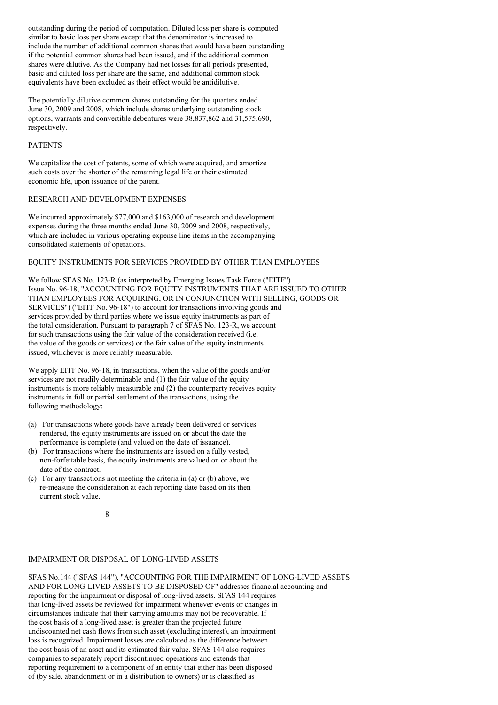outstanding during the period of computation. Diluted loss per share is computed similar to basic loss per share except that the denominator is increased to include the number of additional common shares that would have been outstanding if the potential common shares had been issued, and if the additional common shares were dilutive. As the Company had net losses for all periods presented, basic and diluted loss per share are the same, and additional common stock equivalents have been excluded as their effect would be antidilutive.

The potentially dilutive common shares outstanding for the quarters ended June 30, 2009 and 2008, which include shares underlying outstanding stock options, warrants and convertible debentures were 38,837,862 and 31,575,690, respectively.

## PATENTS

We capitalize the cost of patents, some of which were acquired, and amortize such costs over the shorter of the remaining legal life or their estimated economic life, upon issuance of the patent.

### RESEARCH AND DEVELOPMENT EXPENSES

We incurred approximately \$77,000 and \$163,000 of research and development expenses during the three months ended June 30, 2009 and 2008, respectively, which are included in various operating expense line items in the accompanying consolidated statements of operations.

# EQUITY INSTRUMENTS FOR SERVICES PROVIDED BY OTHER THAN EMPLOYEES

We follow SFAS No. 123-R (as interpreted by Emerging Issues Task Force ("EITF") Issue No. 96-18, "ACCOUNTING FOR EQUITY INSTRUMENTS THAT ARE ISSUED TO OTHER THAN EMPLOYEES FOR ACQUIRING, OR IN CONJUNCTION WITH SELLING, GOODS OR SERVICES") ("EITF No. 96-18") to account for transactions involving goods and services provided by third parties where we issue equity instruments as part of the total consideration. Pursuant to paragraph 7 of SFAS No. 123-R, we account for such transactions using the fair value of the consideration received (i.e. the value of the goods or services) or the fair value of the equity instruments issued, whichever is more reliably measurable.

We apply EITF No. 96-18, in transactions, when the value of the goods and/or services are not readily determinable and (1) the fair value of the equity instruments is more reliably measurable and (2) the counterparty receives equity instruments in full or partial settlement of the transactions, using the following methodology:

- (a) For transactions where goods have already been delivered or services rendered, the equity instruments are issued on or about the date the performance is complete (and valued on the date of issuance).
- (b) For transactions where the instruments are issued on a fully vested, non-forfeitable basis, the equity instruments are valued on or about the date of the contract.
- (c) For any transactions not meeting the criteria in (a) or (b) above, we re-measure the consideration at each reporting date based on its then current stock value.

# 8

# IMPAIRMENT OR DISPOSAL OF LONG-LIVED ASSETS

SFAS No.144 ("SFAS 144"), "ACCOUNTING FOR THE IMPAIRMENT OF LONG-LIVED ASSETS AND FOR LONG-LIVED ASSETS TO BE DISPOSED OF" addresses financial accounting and reporting for the impairment or disposal of long-lived assets. SFAS 144 requires that long-lived assets be reviewed for impairment whenever events or changes in circumstances indicate that their carrying amounts may not be recoverable. If the cost basis of a long-lived asset is greater than the projected future undiscounted net cash flows from such asset (excluding interest), an impairment loss is recognized. Impairment losses are calculated as the difference between the cost basis of an asset and its estimated fair value. SFAS 144 also requires companies to separately report discontinued operations and extends that reporting requirement to a component of an entity that either has been disposed of (by sale, abandonment or in a distribution to owners) or is classified as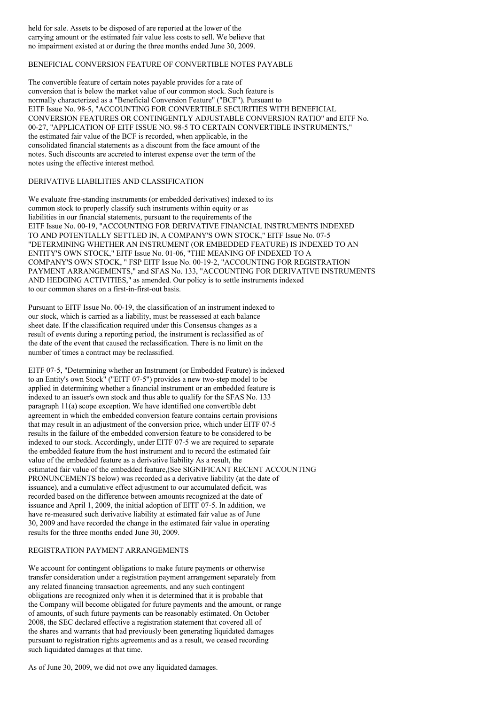held for sale. Assets to be disposed of are reported at the lower of the carrying amount or the estimated fair value less costs to sell. We believe that no impairment existed at or during the three months ended June 30, 2009.

# BENEFICIAL CONVERSION FEATURE OF CONVERTIBLE NOTES PAYABLE

The convertible feature of certain notes payable provides for a rate of conversion that is below the market value of our common stock. Such feature is normally characterized as a "Beneficial Conversion Feature" ("BCF"). Pursuant to EITF Issue No. 98-5, "ACCOUNTING FOR CONVERTIBLE SECURITIES WITH BENEFICIAL CONVERSION FEATURES OR CONTINGENTLY ADJUSTABLE CONVERSION RATIO" and EITF No. 00-27, "APPLICATION OF EITF ISSUE NO. 98-5 TO CERTAIN CONVERTIBLE INSTRUMENTS," the estimated fair value of the BCF is recorded, when applicable, in the consolidated financial statements as a discount from the face amount of the notes. Such discounts are accreted to interest expense over the term of the notes using the effective interest method.

# DERIVATIVE LIABILITIES AND CLASSIFICATION

We evaluate free-standing instruments (or embedded derivatives) indexed to its common stock to properly classify such instruments within equity or as liabilities in our financial statements, pursuant to the requirements of the EITF Issue No. 00-19, "ACCOUNTING FOR DERIVATIVE FINANCIAL INSTRUMENTS INDEXED TO AND POTENTIALLY SETTLED IN, A COMPANY'S OWN STOCK," EITF Issue No. 07-5 "DETERMINING WHETHER AN INSTRUMENT (OR EMBEDDED FEATURE) IS INDEXED TO AN ENTITY'S OWN STOCK," EITF Issue No. 01-06, "THE MEANING OF INDEXED TO A COMPANY'S OWN STOCK, " FSP EITF Issue No. 00-19-2, "ACCOUNTING FOR REGISTRATION PAYMENT ARRANGEMENTS," and SFAS No. 133, "ACCOUNTING FOR DERIVATIVE INSTRUMENTS AND HEDGING ACTIVITIES," as amended. Our policy is to settle instruments indexed to our common shares on a first-in-first-out basis.

Pursuant to EITF Issue No. 00-19, the classification of an instrument indexed to our stock, which is carried as a liability, must be reassessed at each balance sheet date. If the classification required under this Consensus changes as a result of events during a reporting period, the instrument is reclassified as of the date of the event that caused the reclassification. There is no limit on the number of times a contract may be reclassified.

EITF 07-5, "Determining whether an Instrument (or Embedded Feature) is indexed to an Entity's own Stock" ("EITF 07-5") provides a new two-step model to be applied in determining whether a financial instrument or an embedded feature is indexed to an issuer's own stock and thus able to qualify for the SFAS No. 133 paragraph 11(a) scope exception. We have identified one convertible debt agreement in which the embedded conversion feature contains certain provisions that may result in an adjustment of the conversion price, which under EITF 07-5 results in the failure of the embedded conversion feature to be considered to be indexed to our stock. Accordingly, under EITF 07-5 we are required to separate the embedded feature from the host instrument and to record the estimated fair value of the embedded feature as a derivative liability As a result, the estimated fair value of the embedded feature,(See SIGNIFICANT RECENT ACCOUNTING PRONUNCEMENTS below) was recorded as a derivative liability (at the date of issuance), and a cumulative effect adjustment to our accumulated deficit, was recorded based on the difference between amounts recognized at the date of issuance and April 1, 2009, the initial adoption of EITF 07-5. In addition, we have re-measured such derivative liability at estimated fair value as of June 30, 2009 and have recorded the change in the estimated fair value in operating results for the three months ended June 30, 2009.

## REGISTRATION PAYMENT ARRANGEMENTS

We account for contingent obligations to make future payments or otherwise transfer consideration under a registration payment arrangement separately from any related financing transaction agreements, and any such contingent obligations are recognized only when it is determined that it is probable that the Company will become obligated for future payments and the amount, or range of amounts, of such future payments can be reasonably estimated. On October 2008, the SEC declared effective a registration statement that covered all of the shares and warrants that had previously been generating liquidated damages pursuant to registration rights agreements and as a result, we ceased recording such liquidated damages at that time.

As of June 30, 2009, we did not owe any liquidated damages.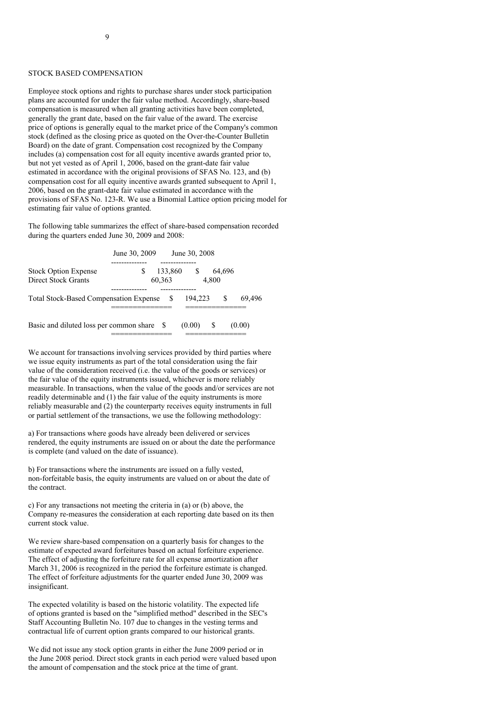#### STOCK BASED COMPENSATION

Employee stock options and rights to purchase shares under stock participation plans are accounted for under the fair value method. Accordingly, share-based compensation is measured when all granting activities have been completed, generally the grant date, based on the fair value of the award. The exercise price of options is generally equal to the market price of the Company's common stock (defined as the closing price as quoted on the Over-the-Counter Bulletin Board) on the date of grant. Compensation cost recognized by the Company includes (a) compensation cost for all equity incentive awards granted prior to, but not yet vested as of April 1, 2006, based on the grant-date fair value estimated in accordance with the original provisions of SFAS No. 123, and (b) compensation cost for all equity incentive awards granted subsequent to April 1, 2006, based on the grant-date fair value estimated in accordance with the provisions of SFAS No. 123-R. We use a Binomial Lattice option pricing model for estimating fair value of options granted.

The following table summarizes the effect of share-based compensation recorded during the quarters ended June 30, 2009 and 2008:

| June 30, 2009                                                       |        |         | June 30, 2008 |       |        |        |
|---------------------------------------------------------------------|--------|---------|---------------|-------|--------|--------|
| --------<br><b>Stock Option Expense</b><br>S<br>Direct Stock Grants | 60,363 | 133,860 | - S           | 4,800 | 64,696 |        |
| <b>Total Stock-Based Compensation Expense</b>                       |        |         | 194,223       |       |        | 69.496 |
| Basic and diluted loss per common share                             |        |         | (0.00)        |       |        | (0.00) |

We account for transactions involving services provided by third parties where we issue equity instruments as part of the total consideration using the fair value of the consideration received (i.e. the value of the goods or services) or the fair value of the equity instruments issued, whichever is more reliably measurable. In transactions, when the value of the goods and/or services are not readily determinable and (1) the fair value of the equity instruments is more reliably measurable and (2) the counterparty receives equity instruments in full or partial settlement of the transactions, we use the following methodology:

a) For transactions where goods have already been delivered or services rendered, the equity instruments are issued on or about the date the performance is complete (and valued on the date of issuance).

b) For transactions where the instruments are issued on a fully vested, non-forfeitable basis, the equity instruments are valued on or about the date of the contract.

c) For any transactions not meeting the criteria in (a) or (b) above, the Company re-measures the consideration at each reporting date based on its then current stock value.

We review share-based compensation on a quarterly basis for changes to the estimate of expected award forfeitures based on actual forfeiture experience. The effect of adjusting the forfeiture rate for all expense amortization after March 31, 2006 is recognized in the period the forfeiture estimate is changed. The effect of forfeiture adjustments for the quarter ended June 30, 2009 was insignificant.

The expected volatility is based on the historic volatility. The expected life of options granted is based on the "simplified method" described in the SEC's Staff Accounting Bulletin No. 107 due to changes in the vesting terms and contractual life of current option grants compared to our historical grants.

We did not issue any stock option grants in either the June 2009 period or in the June 2008 period. Direct stock grants in each period were valued based upon the amount of compensation and the stock price at the time of grant.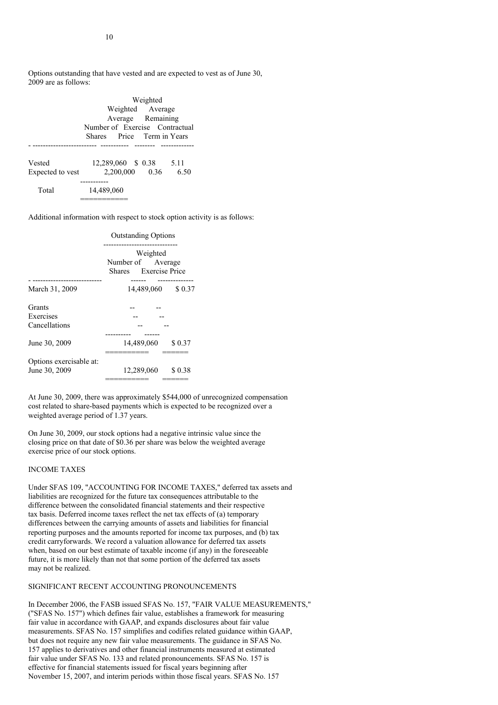Options outstanding that have vested and are expected to vest as of June 30, 2009 are as follows:

|                            | Weighted<br>Weighted Average<br>Average Remaining            |  |                |              |  |
|----------------------------|--------------------------------------------------------------|--|----------------|--------------|--|
|                            | Number of Exercise Contractual<br>Shares Price Term in Years |  |                |              |  |
| Vested<br>Expected to vest | 12,289,060 \$ 0.38                                           |  | 2,200,000 0.36 | 5.11<br>6.50 |  |
| Total                      | --------<br>14,489,060                                       |  |                |              |  |

Additional information with respect to stock option activity is as follows:

|                                          | <b>Outstanding Options</b>                             |  |  |  |  |
|------------------------------------------|--------------------------------------------------------|--|--|--|--|
|                                          | Weighted<br>Number of Average<br>Shares Exercise Price |  |  |  |  |
| March 31, 2009                           | ------------<br>14,489,060<br>\$0.37                   |  |  |  |  |
| Grants<br>Exercises<br>Cancellations     |                                                        |  |  |  |  |
| June 30, 2009                            | 14,489,060<br>\$ 0.37                                  |  |  |  |  |
| Options exercisable at:<br>June 30, 2009 | 12,289,060<br>\$0.38                                   |  |  |  |  |

At June 30, 2009, there was approximately \$544,000 of unrecognized compensation cost related to share-based payments which is expected to be recognized over a weighted average period of 1.37 years.

On June 30, 2009, our stock options had a negative intrinsic value since the closing price on that date of \$0.36 per share was below the weighted average exercise price of our stock options.

#### INCOME TAXES

Under SFAS 109, "ACCOUNTING FOR INCOME TAXES," deferred tax assets and liabilities are recognized for the future tax consequences attributable to the difference between the consolidated financial statements and their respective tax basis. Deferred income taxes reflect the net tax effects of (a) temporary differences between the carrying amounts of assets and liabilities for financial reporting purposes and the amounts reported for income tax purposes, and (b) tax credit carryforwards. We record a valuation allowance for deferred tax assets when, based on our best estimate of taxable income (if any) in the foreseeable future, it is more likely than not that some portion of the deferred tax assets may not be realized.

# SIGNIFICANT RECENT ACCOUNTING PRONOUNCEMENTS

In December 2006, the FASB issued SFAS No. 157, "FAIR VALUE MEASUREMENTS," ("SFAS No. 157") which defines fair value, establishes a framework for measuring fair value in accordance with GAAP, and expands disclosures about fair value measurements. SFAS No. 157 simplifies and codifies related guidance within GAAP, but does not require any new fair value measurements. The guidance in SFAS No. 157 applies to derivatives and other financial instruments measured at estimated fair value under SFAS No. 133 and related pronouncements. SFAS No. 157 is effective for financial statements issued for fiscal years beginning after November 15, 2007, and interim periods within those fiscal years. SFAS No. 157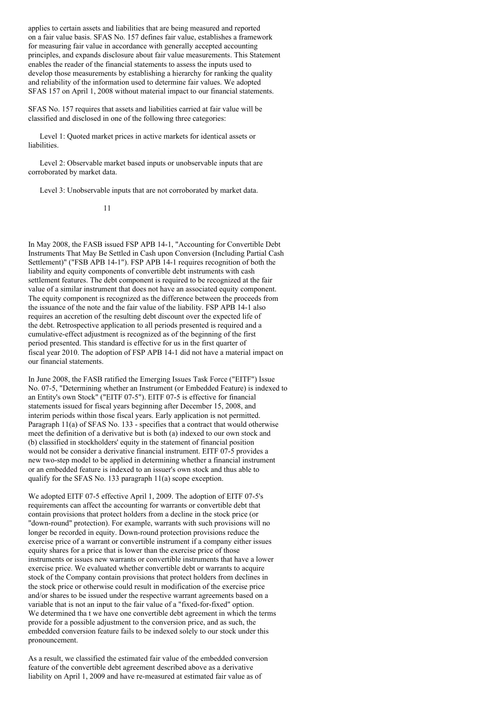applies to certain assets and liabilities that are being measured and reported on a fair value basis. SFAS No. 157 defines fair value, establishes a framework for measuring fair value in accordance with generally accepted accounting principles, and expands disclosure about fair value measurements. This Statement enables the reader of the financial statements to assess the inputs used to develop those measurements by establishing a hierarchy for ranking the quality and reliability of the information used to determine fair values. We adopted SFAS 157 on April 1, 2008 without material impact to our financial statements.

SFAS No. 157 requires that assets and liabilities carried at fair value will be classified and disclosed in one of the following three categories:

Level 1: Quoted market prices in active markets for identical assets or liabilities.

Level 2: Observable market based inputs or unobservable inputs that are corroborated by market data.

Level 3: Unobservable inputs that are not corroborated by market data.

#### 11

In May 2008, the FASB issued FSP APB 14-1, "Accounting for Convertible Debt Instruments That May Be Settled in Cash upon Conversion (Including Partial Cash Settlement)" ("FSB APB 14-1"). FSP APB 14-1 requires recognition of both the liability and equity components of convertible debt instruments with cash settlement features. The debt component is required to be recognized at the fair value of a similar instrument that does not have an associated equity component. The equity component is recognized as the difference between the proceeds from the issuance of the note and the fair value of the liability. FSP APB 14-1 also requires an accretion of the resulting debt discount over the expected life of the debt. Retrospective application to all periods presented is required and a cumulative-effect adjustment is recognized as of the beginning of the first period presented. This standard is effective for us in the first quarter of fiscal year 2010. The adoption of FSP APB 14-1 did not have a material impact on our financial statements.

In June 2008, the FASB ratified the Emerging Issues Task Force ("EITF") Issue No. 07-5, "Determining whether an Instrument (or Embedded Feature) is indexed to an Entity's own Stock" ("EITF 07-5"). EITF 07-5 is effective for financial statements issued for fiscal years beginning after December 15, 2008, and interim periods within those fiscal years. Early application is not permitted. Paragraph 11(a) of SFAS No. 133 - specifies that a contract that would otherwise meet the definition of a derivative but is both (a) indexed to our own stock and (b) classified in stockholders' equity in the statement of financial position would not be consider a derivative financial instrument. EITF 07-5 provides a new two-step model to be applied in determining whether a financial instrument or an embedded feature is indexed to an issuer's own stock and thus able to qualify for the SFAS No. 133 paragraph 11(a) scope exception.

We adopted EITF 07-5 effective April 1, 2009. The adoption of EITF 07-5's requirements can affect the accounting for warrants or convertible debt that contain provisions that protect holders from a decline in the stock price (or "down-round" protection). For example, warrants with such provisions will no longer be recorded in equity. Down-round protection provisions reduce the exercise price of a warrant or convertible instrument if a company either issues equity shares for a price that is lower than the exercise price of those instruments or issues new warrants or convertible instruments that have a lower exercise price. We evaluated whether convertible debt or warrants to acquire stock of the Company contain provisions that protect holders from declines in the stock price or otherwise could result in modification of the exercise price and/or shares to be issued under the respective warrant agreements based on a variable that is not an input to the fair value of a "fixed-for-fixed" option. We determined tha t we have one convertible debt agreement in which the terms provide for a possible adjustment to the conversion price, and as such, the embedded conversion feature fails to be indexed solely to our stock under this pronouncement.

As a result, we classified the estimated fair value of the embedded conversion feature of the convertible debt agreement described above as a derivative liability on April 1, 2009 and have re-measured at estimated fair value as of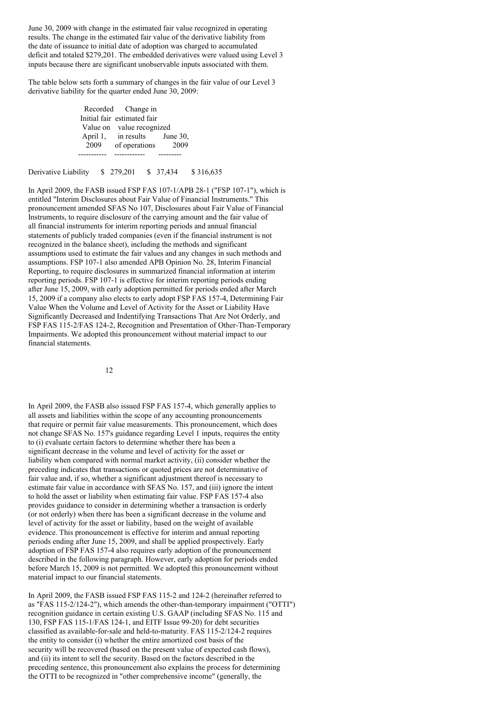June 30, 2009 with change in the estimated fair value recognized in operating results. The change in the estimated fair value of the derivative liability from the date of issuance to initial date of adoption was charged to accumulated deficit and totaled \$279,201. The embedded derivatives were valued using Level 3 inputs because there are significant unobservable inputs associated with them.

The table below sets forth a summary of changes in the fair value of our Level 3 derivative liability for the quarter ended June 30, 2009:

> Recorded Change in Initial fair estimated fair Value on value recognized<br>April 1, in results June 30, April 1, in results 2009 of operations 2009 ----------- ------------ ---------

Derivative Liability \$ 279,201 \$ 37,434 \$ 316,635

In April 2009, the FASB issued FSP FAS 107-1/APB 28-1 ("FSP 107-1"), which is entitled "Interim Disclosures about Fair Value of Financial Instruments." This pronouncement amended SFAS No 107, Disclosures about Fair Value of Financial Instruments, to require disclosure of the carrying amount and the fair value of all financial instruments for interim reporting periods and annual financial statements of publicly traded companies (even if the financial instrument is not recognized in the balance sheet), including the methods and significant assumptions used to estimate the fair values and any changes in such methods and assumptions. FSP 107-1 also amended APB Opinion No. 28, Interim Financial Reporting, to require disclosures in summarized financial information at interim reporting periods. FSP 107-1 is effective for interim reporting periods ending after June 15, 2009, with early adoption permitted for periods ended after March 15, 2009 if a company also elects to early adopt FSP FAS 157-4, Determining Fair Value When the Volume and Level of Activity for the Asset or Liability Have Significantly Decreased and Indentifying Transactions That Are Not Orderly, and FSP FAS 115-2/FAS 124-2, Recognition and Presentation of Other-Than-Temporary Impairments. We adopted this pronouncement without material impact to our financial statements.

12

In April 2009, the FASB also issued FSP FAS 157-4, which generally applies to all assets and liabilities within the scope of any accounting pronouncements that require or permit fair value measurements. This pronouncement, which does not change SFAS No. 157's guidance regarding Level 1 inputs, requires the entity to (i) evaluate certain factors to determine whether there has been a significant decrease in the volume and level of activity for the asset or liability when compared with normal market activity, (ii) consider whether the preceding indicates that transactions or quoted prices are not determinative of fair value and, if so, whether a significant adjustment thereof is necessary to estimate fair value in accordance with SFAS No. 157, and (iii) ignore the intent to hold the asset or liability when estimating fair value. FSP FAS 157-4 also provides guidance to consider in determining whether a transaction is orderly (or not orderly) when there has been a significant decrease in the volume and level of activity for the asset or liability, based on the weight of available evidence. This pronouncement is effective for interim and annual reporting periods ending after June 15, 2009, and shall be applied prospectively. Early adoption of FSP FAS 157-4 also requires early adoption of the pronouncement described in the following paragraph. However, early adoption for periods ended before March 15, 2009 is not permitted. We adopted this pronouncement without material impact to our financial statements.

In April 2009, the FASB issued FSP FAS 115-2 and 124-2 (hereinafter referred to as "FAS 115-2/124-2"), which amends the other-than-temporary impairment ("OTTI") recognition guidance in certain existing U.S. GAAP (including SFAS No. 115 and 130, FSP FAS 115-1/FAS 124-1, and EITF Issue 99-20) for debt securities classified as available-for-sale and held-to-maturity. FAS 115-2/124-2 requires the entity to consider (i) whether the entire amortized cost basis of the security will be recovered (based on the present value of expected cash flows), and (ii) its intent to sell the security. Based on the factors described in the preceding sentence, this pronouncement also explains the process for determining the OTTI to be recognized in "other comprehensive income" (generally, the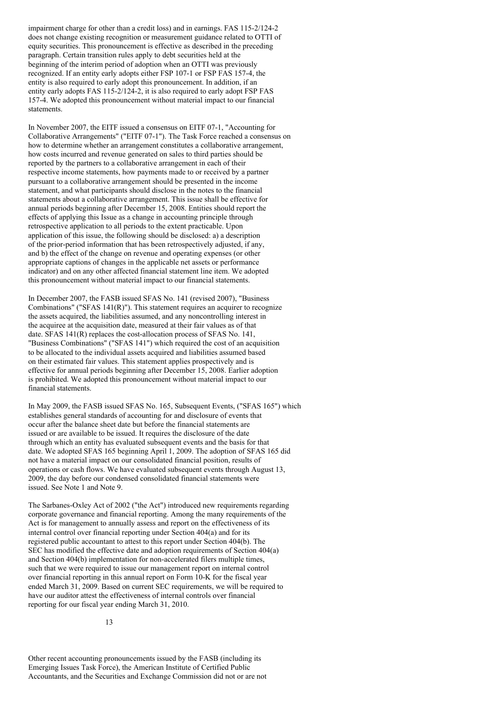impairment charge for other than a credit loss) and in earnings. FAS 115-2/124-2 does not change existing recognition or measurement guidance related to OTTI of equity securities. This pronouncement is effective as described in the preceding paragraph. Certain transition rules apply to debt securities held at the beginning of the interim period of adoption when an OTTI was previously recognized. If an entity early adopts either FSP 107-1 or FSP FAS 157-4, the entity is also required to early adopt this pronouncement. In addition, if an entity early adopts FAS 115-2/124-2, it is also required to early adopt FSP FAS 157-4. We adopted this pronouncement without material impact to our financial statements.

In November 2007, the EITF issued a consensus on EITF 07-1, "Accounting for Collaborative Arrangements" ("EITF 07-1"). The Task Force reached a consensus on how to determine whether an arrangement constitutes a collaborative arrangement, how costs incurred and revenue generated on sales to third parties should be reported by the partners to a collaborative arrangement in each of their respective income statements, how payments made to or received by a partner pursuant to a collaborative arrangement should be presented in the income statement, and what participants should disclose in the notes to the financial statements about a collaborative arrangement. This issue shall be effective for annual periods beginning after December 15, 2008. Entities should report the effects of applying this Issue as a change in accounting principle through retrospective application to all periods to the extent practicable. Upon application of this issue, the following should be disclosed: a) a description of the prior-period information that has been retrospectively adjusted, if any, and b) the effect of the change on revenue and operating expenses (or other appropriate captions of changes in the applicable net assets or performance indicator) and on any other affected financial statement line item. We adopted this pronouncement without material impact to our financial statements.

In December 2007, the FASB issued SFAS No. 141 (revised 2007), "Business Combinations" ("SFAS 141(R)"). This statement requires an acquirer to recognize the assets acquired, the liabilities assumed, and any noncontrolling interest in the acquiree at the acquisition date, measured at their fair values as of that date. SFAS 141(R) replaces the cost-allocation process of SFAS No. 141, "Business Combinations" ("SFAS 141") which required the cost of an acquisition to be allocated to the individual assets acquired and liabilities assumed based on their estimated fair values. This statement applies prospectively and is effective for annual periods beginning after December 15, 2008. Earlier adoption is prohibited. We adopted this pronouncement without material impact to our financial statements.

In May 2009, the FASB issued SFAS No. 165, Subsequent Events, ("SFAS 165") which establishes general standards of accounting for and disclosure of events that occur after the balance sheet date but before the financial statements are issued or are available to be issued. It requires the disclosure of the date through which an entity has evaluated subsequent events and the basis for that date. We adopted SFAS 165 beginning April 1, 2009. The adoption of SFAS 165 did not have a material impact on our consolidated financial position, results of operations or cash flows. We have evaluated subsequent events through August 13, 2009, the day before our condensed consolidated financial statements were issued. See Note 1 and Note 9.

The Sarbanes-Oxley Act of 2002 ("the Act") introduced new requirements regarding corporate governance and financial reporting. Among the many requirements of the Act is for management to annually assess and report on the effectiveness of its internal control over financial reporting under Section 404(a) and for its registered public accountant to attest to this report under Section 404(b). The SEC has modified the effective date and adoption requirements of Section 404(a) and Section 404(b) implementation for non-accelerated filers multiple times, such that we were required to issue our management report on internal control over financial reporting in this annual report on Form 10-K for the fiscal year ended March 31, 2009. Based on current SEC requirements, we will be required to have our auditor attest the effectiveness of internal controls over financial reporting for our fiscal year ending March 31, 2010.

Other recent accounting pronouncements issued by the FASB (including its Emerging Issues Task Force), the American Institute of Certified Public Accountants, and the Securities and Exchange Commission did not or are not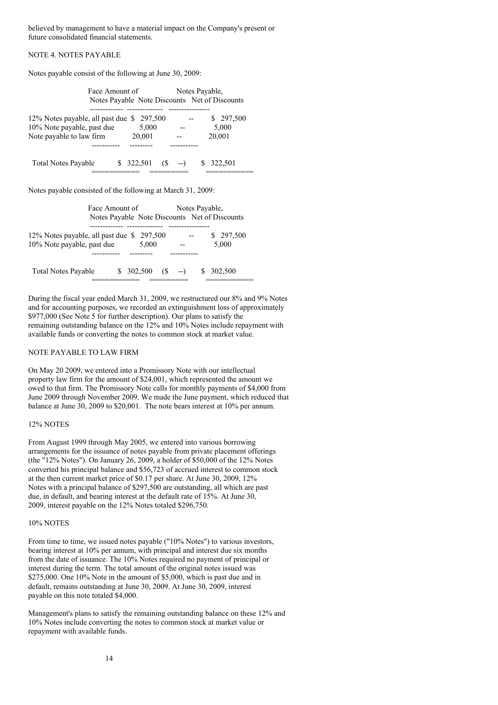believed by management to have a material impact on the Company's present or future consolidated financial statements.

# NOTE 4. NOTES PAYABLE

Notes payable consist of the following at June 30, 2009:

| Face Amount of                                                                                      | Notes Payable,                                                  | Notes Payable Note Discounts Net of Discounts |                              |
|-----------------------------------------------------------------------------------------------------|-----------------------------------------------------------------|-----------------------------------------------|------------------------------|
| 12% Notes payable, all past due \$297,500<br>10% Note payable, past due<br>Note payable to law firm | 5,000<br>20,001                                                 | $-$                                           | \$297,500<br>5,000<br>20,001 |
| Total Notes Payable                                                                                 | $$322,501$ (\$ --)                                              |                                               | \$ 322,501                   |
| Notes payable consisted of the following at March 31, 2009:                                         |                                                                 |                                               |                              |
|                                                                                                     | Face Amount of<br>Notes Payable Note Discounts Net of Discounts | Notes Payable,                                |                              |
| 12% Notes payable, all past due \$297,500<br>10% Note payable, past due                             | 5,000                                                           |                                               | \$297,500<br>5,000           |
| Total Notes Payable                                                                                 | \$ 302,500<br>$(S -$                                            | S.<br>$  )$                                   | 302,500                      |

During the fiscal year ended March 31, 2009, we restructured our 8% and 9% Notes and for accounting purposes, we recorded an extinguishment loss of approximately \$977,000 (See Note 5 for further description). Our plans to satisfy the remaining outstanding balance on the 12% and 10% Notes include repayment with available funds or converting the notes to common stock at market value.

#### NOTE PAYABLE TO LAW FIRM

On May 20 2009, we entered into a Promissory Note with our intellectual property law firm for the amount of \$24,001, which represented the amount we owed to that firm. The Promissory Note calls for monthly payments of \$4,000 from June 2009 through November 2009. We made the June payment, which reduced that balance at June 30, 2009 to \$20,001. The note bears interest at 10% per annum.

#### 12% NOTES

From August 1999 through May 2005, we entered into various borrowing arrangements for the issuance of notes payable from private placement offerings (the "12% Notes"). On January 26, 2009, a holder of \$50,000 of the 12% Notes converted his principal balance and \$56,723 of accrued interest to common stock at the then current market price of \$0.17 per share. At June 30, 2009, 12% Notes with a principal balance of \$297,500 are outstanding, all which are past due, in default, and bearing interest at the default rate of 15%. At June 30, 2009, interest payable on the 12% Notes totaled \$296,750.

#### 10% NOTES

From time to time, we issued notes payable ("10% Notes") to various investors, bearing interest at 10% per annum, with principal and interest due six months from the date of issuance. The 10% Notes required no payment of principal or interest during the term. The total amount of the original notes issued was \$275,000. One 10% Note in the amount of \$5,000, which is past due and in default, remains outstanding at June 30, 2009. At June 30, 2009, interest payable on this note totaled \$4,000.

Management's plans to satisfy the remaining outstanding balance on these 12% and 10% Notes include converting the notes to common stock at market value or repayment with available funds.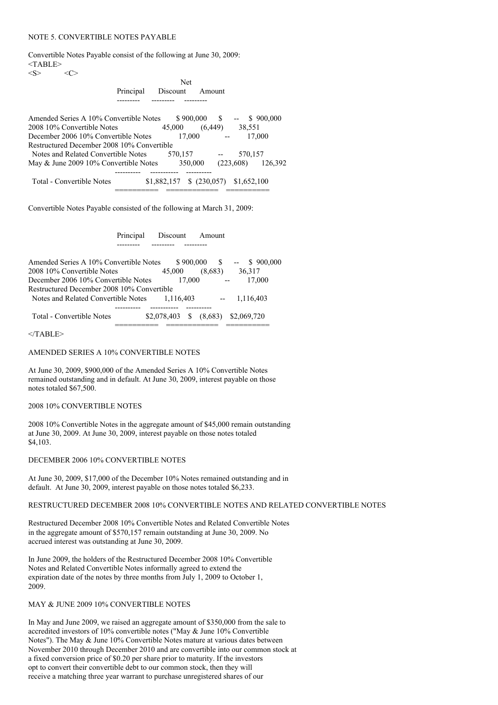#### NOTE 5. CONVERTIBLE NOTES PAYABLE

Convertible Notes Payable consist of the following at June 30, 2009:  $<$ TABLE>  $\langle S \rangle$   $\langle C \rangle$ 

|  | <b>Net</b>                |
|--|---------------------------|
|  | Principal Discount Amount |
|  |                           |

| Amended Series A 10% Convertible Notes     | \$900,000   | -S                             | \$900,000 |
|--------------------------------------------|-------------|--------------------------------|-----------|
| 2008 10% Convertible Notes                 | 45,000      | 38,551<br>(6.449)              |           |
| December 2006 10% Convertible Notes        | 17,000      |                                | 17.000    |
| Restructured December 2008 10% Convertible |             |                                |           |
| Notes and Related Convertible Notes        | 570.157     |                                | 570,157   |
| May & June 2009 10% Convertible Notes      | 350,000     | (223,608)                      | 126.392   |
| Total - Convertible Notes                  | \$1,882,157 | $$ (230,057) \quad $1,652,100$ |           |

Convertible Notes Payable consisted of the following at March 31, 2009:

## Principal Discount Amount --------- --------- ---------

| Amended Series A 10% Convertible Notes     | \$900,000          | -S      | \$900,000             |  |
|--------------------------------------------|--------------------|---------|-----------------------|--|
| 2008 10% Convertible Notes                 | 45,000             | (8.683) | 36,317                |  |
| December 2006 10% Convertible Notes        | 17.000             |         | 17,000                |  |
| Restructured December 2008 10% Convertible |                    |         |                       |  |
| Notes and Related Convertible Notes        | 1.116.403          |         | 1,116,403             |  |
|                                            |                    |         |                       |  |
| Total - Convertible Notes                  | \$2,078,403<br>- S |         | $(8,683)$ \$2,069,720 |  |
|                                            |                    |         |                       |  |

 $<$ /TABLE>

## AMENDED SERIES A 10% CONVERTIBLE NOTES

At June 30, 2009, \$900,000 of the Amended Series A 10% Convertible Notes remained outstanding and in default. At June 30, 2009, interest payable on those notes totaled \$67,500.

#### 2008 10% CONVERTIBLE NOTES

2008 10% Convertible Notes in the aggregate amount of \$45,000 remain outstanding at June 30, 2009. At June 30, 2009, interest payable on those notes totaled \$4,103.

#### DECEMBER 2006 10% CONVERTIBLE NOTES

At June 30, 2009, \$17,000 of the December 10% Notes remained outstanding and in default. At June 30, 2009, interest payable on those notes totaled \$6,233.

## RESTRUCTURED DECEMBER 2008 10% CONVERTIBLE NOTES AND RELATED CONVERTIBLE NOTES

Restructured December 2008 10% Convertible Notes and Related Convertible Notes in the aggregate amount of \$570,157 remain outstanding at June 30, 2009. No accrued interest was outstanding at June 30, 2009.

In June 2009, the holders of the Restructured December 2008 10% Convertible Notes and Related Convertible Notes informally agreed to extend the expiration date of the notes by three months from July 1, 2009 to October 1, 2009.

#### MAY & JUNE 2009 10% CONVERTIBLE NOTES

In May and June 2009, we raised an aggregate amount of \$350,000 from the sale to accredited investors of 10% convertible notes ("May & June 10% Convertible Notes"). The May & June 10% Convertible Notes mature at various dates between November 2010 through December 2010 and are convertible into our common stock at a fixed conversion price of \$0.20 per share prior to maturity. If the investors opt to convert their convertible debt to our common stock, then they will receive a matching three year warrant to purchase unregistered shares of our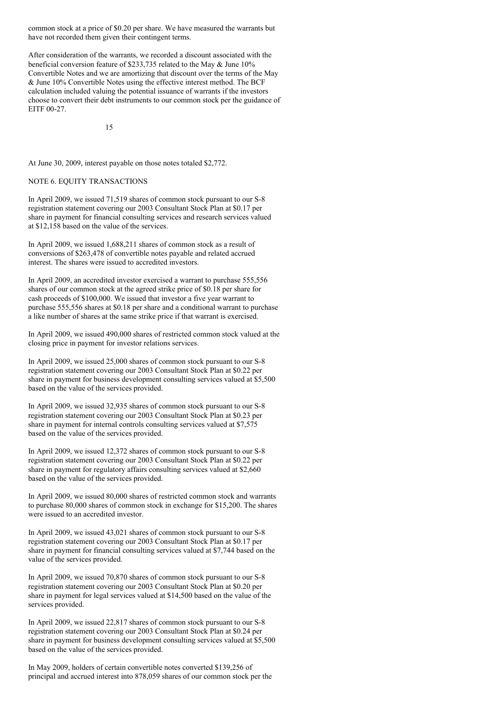common stock at a price of \$0.20 per share. We have measured the warrants but have not recorded them given their contingent terms.

After consideration of the warrants, we recorded a discount associated with the beneficial conversion feature of \$233,735 related to the May & June 10% Convertible Notes and we are amortizing that discount over the terms of the May & June 10% Convertible Notes using the effective interest method. The BCF calculation included valuing the potential issuance of warrants if the investors choose to convert their debt instruments to our common stock per the guidance of EITF 00-27.

15

At June 30, 2009, interest payable on those notes totaled \$2,772.

# NOTE 6. EQUITY TRANSACTIONS

In April 2009, we issued 71,519 shares of common stock pursuant to our S-8 registration statement covering our 2003 Consultant Stock Plan at \$0.17 per share in payment for financial consulting services and research services valued at \$12,158 based on the value of the services.

In April 2009, we issued 1,688,211 shares of common stock as a result of conversions of \$263,478 of convertible notes payable and related accrued interest. The shares were issued to accredited investors.

In April 2009, an accredited investor exercised a warrant to purchase 555,556 shares of our common stock at the agreed strike price of \$0.18 per share for cash proceeds of \$100,000. We issued that investor a five year warrant to purchase 555,556 shares at \$0.18 per share and a conditional warrant to purchase a like number of shares at the same strike price if that warrant is exercised.

In April 2009, we issued 490,000 shares of restricted common stock valued at the closing price in payment for investor relations services.

In April 2009, we issued 25,000 shares of common stock pursuant to our S-8 registration statement covering our 2003 Consultant Stock Plan at \$0.22 per share in payment for business development consulting services valued at \$5,500 based on the value of the services provided.

In April 2009, we issued 32,935 shares of common stock pursuant to our S-8 registration statement covering our 2003 Consultant Stock Plan at \$0.23 per share in payment for internal controls consulting services valued at \$7,575 based on the value of the services provided.

In April 2009, we issued 12,372 shares of common stock pursuant to our S-8 registration statement covering our 2003 Consultant Stock Plan at \$0.22 per share in payment for regulatory affairs consulting services valued at \$2,660 based on the value of the services provided.

In April 2009, we issued 80,000 shares of restricted common stock and warrants to purchase 80,000 shares of common stock in exchange for \$15,200. The shares were issued to an accredited investor.

In April 2009, we issued 43,021 shares of common stock pursuant to our S-8 registration statement covering our 2003 Consultant Stock Plan at \$0.17 per share in payment for financial consulting services valued at \$7,744 based on the value of the services provided.

In April 2009, we issued 70,870 shares of common stock pursuant to our S-8 registration statement covering our 2003 Consultant Stock Plan at \$0.20 per share in payment for legal services valued at \$14,500 based on the value of the services provided.

In April 2009, we issued 22,817 shares of common stock pursuant to our S-8 registration statement covering our 2003 Consultant Stock Plan at \$0.24 per share in payment for business development consulting services valued at \$5,500 based on the value of the services provided.

In May 2009, holders of certain convertible notes converted \$139,256 of principal and accrued interest into 878,059 shares of our common stock per the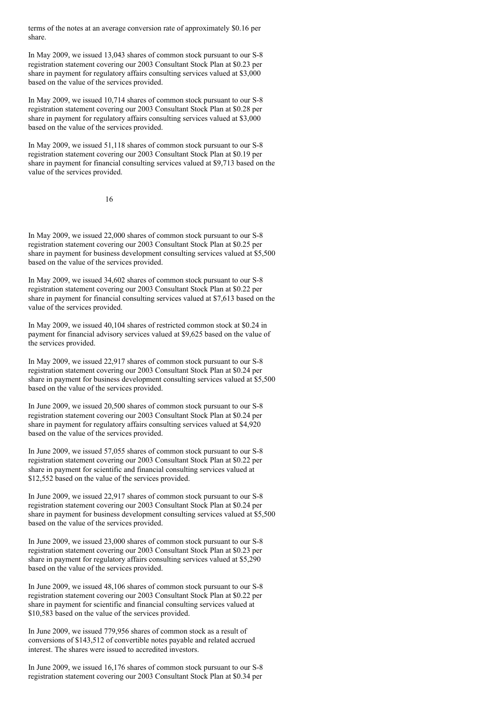terms of the notes at an average conversion rate of approximately \$0.16 per share.

In May 2009, we issued 13,043 shares of common stock pursuant to our S-8 registration statement covering our 2003 Consultant Stock Plan at \$0.23 per share in payment for regulatory affairs consulting services valued at \$3,000 based on the value of the services provided.

In May 2009, we issued 10,714 shares of common stock pursuant to our S-8 registration statement covering our 2003 Consultant Stock Plan at \$0.28 per share in payment for regulatory affairs consulting services valued at \$3,000 based on the value of the services provided.

In May 2009, we issued 51,118 shares of common stock pursuant to our S-8 registration statement covering our 2003 Consultant Stock Plan at \$0.19 per share in payment for financial consulting services valued at \$9,713 based on the value of the services provided.

16

In May 2009, we issued 22,000 shares of common stock pursuant to our S-8 registration statement covering our 2003 Consultant Stock Plan at \$0.25 per share in payment for business development consulting services valued at \$5,500 based on the value of the services provided.

In May 2009, we issued 34,602 shares of common stock pursuant to our S-8 registration statement covering our 2003 Consultant Stock Plan at \$0.22 per share in payment for financial consulting services valued at \$7,613 based on the value of the services provided.

In May 2009, we issued 40,104 shares of restricted common stock at \$0.24 in payment for financial advisory services valued at \$9,625 based on the value of the services provided.

In May 2009, we issued 22,917 shares of common stock pursuant to our S-8 registration statement covering our 2003 Consultant Stock Plan at \$0.24 per share in payment for business development consulting services valued at \$5,500 based on the value of the services provided.

In June 2009, we issued 20,500 shares of common stock pursuant to our S-8 registration statement covering our 2003 Consultant Stock Plan at \$0.24 per share in payment for regulatory affairs consulting services valued at \$4,920 based on the value of the services provided.

In June 2009, we issued 57,055 shares of common stock pursuant to our S-8 registration statement covering our 2003 Consultant Stock Plan at \$0.22 per share in payment for scientific and financial consulting services valued at \$12,552 based on the value of the services provided.

In June 2009, we issued 22,917 shares of common stock pursuant to our S-8 registration statement covering our 2003 Consultant Stock Plan at \$0.24 per share in payment for business development consulting services valued at \$5,500 based on the value of the services provided.

In June 2009, we issued 23,000 shares of common stock pursuant to our S-8 registration statement covering our 2003 Consultant Stock Plan at \$0.23 per share in payment for regulatory affairs consulting services valued at \$5,290 based on the value of the services provided.

In June 2009, we issued 48,106 shares of common stock pursuant to our S-8 registration statement covering our 2003 Consultant Stock Plan at \$0.22 per share in payment for scientific and financial consulting services valued at \$10,583 based on the value of the services provided.

In June 2009, we issued 779,956 shares of common stock as a result of conversions of \$143,512 of convertible notes payable and related accrued interest. The shares were issued to accredited investors.

In June 2009, we issued 16,176 shares of common stock pursuant to our S-8 registration statement covering our 2003 Consultant Stock Plan at \$0.34 per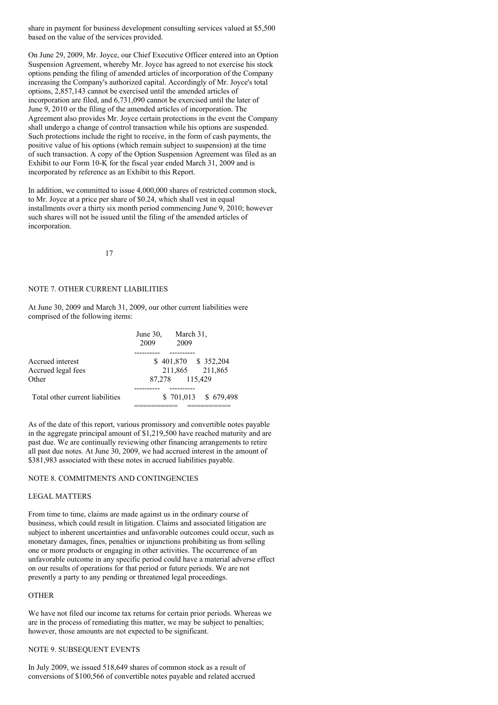share in payment for business development consulting services valued at \$5,500 based on the value of the services provided.

On June 29, 2009, Mr. Joyce, our Chief Executive Officer entered into an Option Suspension Agreement, whereby Mr. Joyce has agreed to not exercise his stock options pending the filing of amended articles of incorporation of the Company increasing the Company's authorized capital. Accordingly of Mr. Joyce's total options, 2,857,143 cannot be exercised until the amended articles of incorporation are filed, and 6,731,090 cannot be exercised until the later of June 9, 2010 or the filing of the amended articles of incorporation. The Agreement also provides Mr. Joyce certain protections in the event the Company shall undergo a change of control transaction while his options are suspended. Such protections include the right to receive, in the form of cash payments, the positive value of his options (which remain subject to suspension) at the time of such transaction. A copy of the Option Suspension Agreement was filed as an Exhibit to our Form 10-K for the fiscal year ended March 31, 2009 and is incorporated by reference as an Exhibit to this Report.

In addition, we committed to issue 4,000,000 shares of restricted common stock, to Mr. Joyce at a price per share of \$0.24, which shall vest in equal installments over a thirty six month period commencing June 9, 2010; however such shares will not be issued until the filing of the amended articles of incorporation.

17

# NOTE 7. OTHER CURRENT LIABILITIES

At June 30, 2009 and March 31, 2009, our other current liabilities were comprised of the following items:

|                                 | June 30, March 31,<br>2009 | 2009           |                       |
|---------------------------------|----------------------------|----------------|-----------------------|
|                                 |                            |                |                       |
| Accrued interest                |                            |                | $$401,870$ $$352,204$ |
| Accrued legal fees              |                            |                | 211,865 211,865       |
| Other                           |                            | 87,278 115,429 |                       |
|                                 |                            |                |                       |
| Total other current liabilities |                            |                | $$701,013$ $$679,498$ |
|                                 |                            |                |                       |

As of the date of this report, various promissory and convertible notes payable in the aggregate principal amount of \$1,219,500 have reached maturity and are past due. We are continually reviewing other financing arrangements to retire all past due notes. At June 30, 2009, we had accrued interest in the amount of \$381,983 associated with these notes in accrued liabilities payable.

#### NOTE 8. COMMITMENTS AND CONTINGENCIES

## LEGAL MATTERS

From time to time, claims are made against us in the ordinary course of business, which could result in litigation. Claims and associated litigation are subject to inherent uncertainties and unfavorable outcomes could occur, such as monetary damages, fines, penalties or injunctions prohibiting us from selling one or more products or engaging in other activities. The occurrence of an unfavorable outcome in any specific period could have a material adverse effect on our results of operations for that period or future periods. We are not presently a party to any pending or threatened legal proceedings.

#### **OTHER**

We have not filed our income tax returns for certain prior periods. Whereas we are in the process of remediating this matter, we may be subject to penalties; however, those amounts are not expected to be significant.

# NOTE 9. SUBSEQUENT EVENTS

In July 2009, we issued 518,649 shares of common stock as a result of conversions of \$100,566 of convertible notes payable and related accrued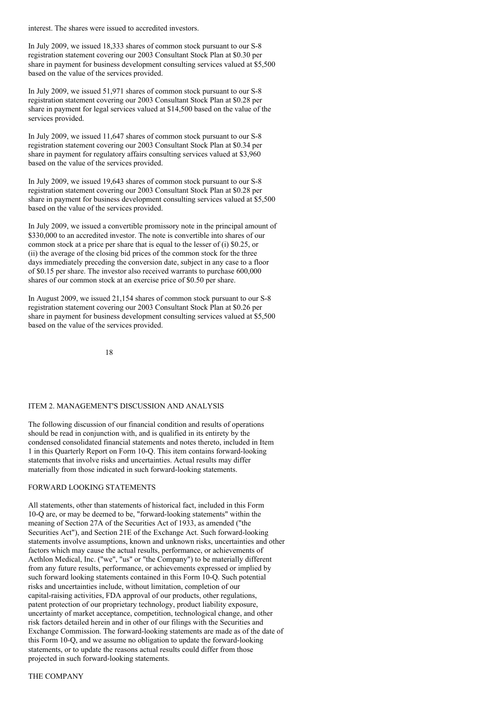interest. The shares were issued to accredited investors.

In July 2009, we issued 18,333 shares of common stock pursuant to our S-8 registration statement covering our 2003 Consultant Stock Plan at \$0.30 per share in payment for business development consulting services valued at \$5,500 based on the value of the services provided.

In July 2009, we issued 51,971 shares of common stock pursuant to our S-8 registration statement covering our 2003 Consultant Stock Plan at \$0.28 per share in payment for legal services valued at \$14,500 based on the value of the services provided.

In July 2009, we issued 11,647 shares of common stock pursuant to our S-8 registration statement covering our 2003 Consultant Stock Plan at \$0.34 per share in payment for regulatory affairs consulting services valued at \$3,960 based on the value of the services provided.

In July 2009, we issued 19,643 shares of common stock pursuant to our S-8 registration statement covering our 2003 Consultant Stock Plan at \$0.28 per share in payment for business development consulting services valued at \$5,500 based on the value of the services provided.

In July 2009, we issued a convertible promissory note in the principal amount of \$330,000 to an accredited investor. The note is convertible into shares of our common stock at a price per share that is equal to the lesser of (i) \$0.25, or (ii) the average of the closing bid prices of the common stock for the three days immediately preceding the conversion date, subject in any case to a floor of \$0.15 per share. The investor also received warrants to purchase 600,000 shares of our common stock at an exercise price of \$0.50 per share.

In August 2009, we issued 21,154 shares of common stock pursuant to our S-8 registration statement covering our 2003 Consultant Stock Plan at \$0.26 per share in payment for business development consulting services valued at \$5,500 based on the value of the services provided.

18

#### ITEM 2. MANAGEMENT'S DISCUSSION AND ANALYSIS

The following discussion of our financial condition and results of operations should be read in conjunction with, and is qualified in its entirety by the condensed consolidated financial statements and notes thereto, included in Item 1 in this Quarterly Report on Form 10-Q. This item contains forward-looking statements that involve risks and uncertainties. Actual results may differ materially from those indicated in such forward-looking statements.

# FORWARD LOOKING STATEMENTS

All statements, other than statements of historical fact, included in this Form 10-Q are, or may be deemed to be, "forward-looking statements" within the meaning of Section 27A of the Securities Act of 1933, as amended ("the Securities Act"), and Section 21E of the Exchange Act. Such forward-looking statements involve assumptions, known and unknown risks, uncertainties and other factors which may cause the actual results, performance, or achievements of Aethlon Medical, Inc. ("we", "us" or "the Company") to be materially different from any future results, performance, or achievements expressed or implied by such forward looking statements contained in this Form 10-Q. Such potential risks and uncertainties include, without limitation, completion of our capital-raising activities, FDA approval of our products, other regulations, patent protection of our proprietary technology, product liability exposure, uncertainty of market acceptance, competition, technological change, and other risk factors detailed herein and in other of our filings with the Securities and Exchange Commission. The forward-looking statements are made as of the date of this Form 10-Q, and we assume no obligation to update the forward-looking statements, or to update the reasons actual results could differ from those projected in such forward-looking statements.

#### THE COMPANY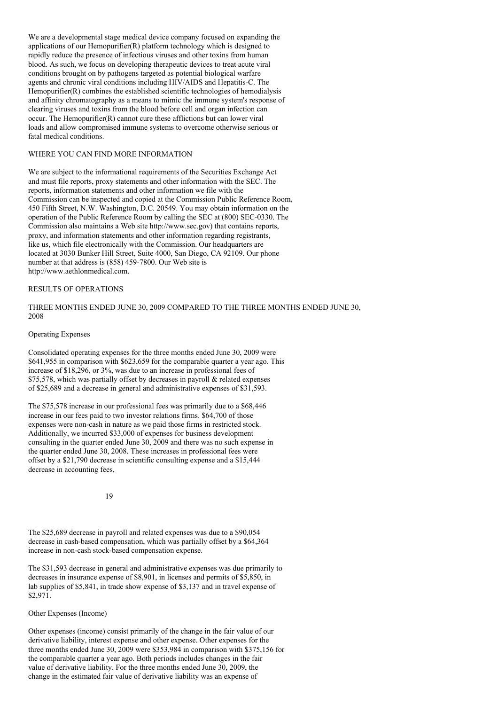We are a developmental stage medical device company focused on expanding the applications of our Hemopurifier(R) platform technology which is designed to rapidly reduce the presence of infectious viruses and other toxins from human blood. As such, we focus on developing therapeutic devices to treat acute viral conditions brought on by pathogens targeted as potential biological warfare agents and chronic viral conditions including HIV/AIDS and Hepatitis-C. The Hemopurifier(R) combines the established scientific technologies of hemodialysis and affinity chromatography as a means to mimic the immune system's response of clearing viruses and toxins from the blood before cell and organ infection can occur. The Hemopurifier(R) cannot cure these afflictions but can lower viral loads and allow compromised immune systems to overcome otherwise serious or fatal medical conditions.

## WHERE YOU CAN FIND MORE INFORMATION

We are subject to the informational requirements of the Securities Exchange Act and must file reports, proxy statements and other information with the SEC. The reports, information statements and other information we file with the Commission can be inspected and copied at the Commission Public Reference Room, 450 Fifth Street, N.W. Washington, D.C. 20549. You may obtain information on the operation of the Public Reference Room by calling the SEC at (800) SEC-0330. The Commission also maintains a Web site http://www.sec.gov) that contains reports, proxy, and information statements and other information regarding registrants, like us, which file electronically with the Commission. Our headquarters are located at 3030 Bunker Hill Street, Suite 4000, San Diego, CA 92109. Our phone number at that address is (858) 459-7800. Our Web site is http://www.aethlonmedical.com.

# RESULTS OF OPERATIONS

THREE MONTHS ENDED JUNE 30, 2009 COMPARED TO THE THREE MONTHS ENDED JUNE 30, 2008

#### Operating Expenses

Consolidated operating expenses for the three months ended June 30, 2009 were \$641,955 in comparison with \$623,659 for the comparable quarter a year ago. This increase of \$18,296, or 3%, was due to an increase in professional fees of \$75,578, which was partially offset by decreases in payroll & related expenses of \$25,689 and a decrease in general and administrative expenses of \$31,593.

The \$75,578 increase in our professional fees was primarily due to a \$68,446 increase in our fees paid to two investor relations firms. \$64,700 of those expenses were non-cash in nature as we paid those firms in restricted stock. Additionally, we incurred \$33,000 of expenses for business development consulting in the quarter ended June 30, 2009 and there was no such expense in the quarter ended June 30, 2008. These increases in professional fees were offset by a \$21,790 decrease in scientific consulting expense and a \$15,444 decrease in accounting fees,

19

The \$25,689 decrease in payroll and related expenses was due to a \$90,054 decrease in cash-based compensation, which was partially offset by a \$64,364 increase in non-cash stock-based compensation expense.

The \$31,593 decrease in general and administrative expenses was due primarily to decreases in insurance expense of \$8,901, in licenses and permits of \$5,850, in lab supplies of \$5,841, in trade show expense of \$3,137 and in travel expense of \$2,971.

Other Expenses (Income)

Other expenses (income) consist primarily of the change in the fair value of our derivative liability, interest expense and other expense. Other expenses for the three months ended June 30, 2009 were \$353,984 in comparison with \$375,156 for the comparable quarter a year ago. Both periods includes changes in the fair value of derivative liability. For the three months ended June 30, 2009, the change in the estimated fair value of derivative liability was an expense of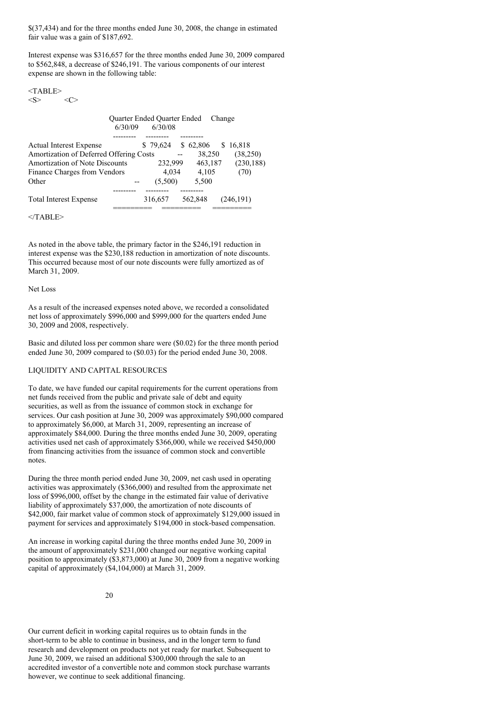\$(37,434) and for the three months ended June 30, 2008, the change in estimated fair value was a gain of \$187,692.

Interest expense was \$316,657 for the three months ended June 30, 2009 compared to \$562,848, a decrease of \$246,191. The various components of our interest expense are shown in the following table:

# $<$ TABLE>

 $\langle S \rangle$   $\langle C \rangle$ 

|                                                                                                                                             | 6/30/09 | Quarter Ended Quarter Ended<br>6/30/08 |         | Change                                       |                                          |
|---------------------------------------------------------------------------------------------------------------------------------------------|---------|----------------------------------------|---------|----------------------------------------------|------------------------------------------|
| <b>Actual Interest Expense</b><br>Amortization of Deferred Offering Costs<br>Amortization of Note Discounts<br>Finance Charges from Vendors |         | \$79,624<br>232.999<br>4.034           |         | \$62,806<br>S.<br>38,250<br>463,187<br>4,105 | 16,818<br>(38,250)<br>(230, 188)<br>(70) |
| Other<br><b>Total Interest Expense</b>                                                                                                      |         | (5,500)<br>316,657                     | 562.848 | 5,500                                        | (246.191)                                |

 $<$ /TABLE>

As noted in the above table, the primary factor in the \$246,191 reduction in interest expense was the \$230,188 reduction in amortization of note discounts. This occurred because most of our note discounts were fully amortized as of March 31, 2009.

# Net Loss

As a result of the increased expenses noted above, we recorded a consolidated net loss of approximately \$996,000 and \$999,000 for the quarters ended June 30, 2009 and 2008, respectively.

Basic and diluted loss per common share were (\$0.02) for the three month period ended June 30, 2009 compared to (\$0.03) for the period ended June 30, 2008.

# LIQUIDITY AND CAPITAL RESOURCES

To date, we have funded our capital requirements for the current operations from net funds received from the public and private sale of debt and equity securities, as well as from the issuance of common stock in exchange for services. Our cash position at June 30, 2009 was approximately \$90,000 compared to approximately \$6,000, at March 31, 2009, representing an increase of approximately \$84,000. During the three months ended June 30, 2009, operating activities used net cash of approximately \$366,000, while we received \$450,000 from financing activities from the issuance of common stock and convertible notes.

During the three month period ended June 30, 2009, net cash used in operating activities was approximately (\$366,000) and resulted from the approximate net loss of \$996,000, offset by the change in the estimated fair value of derivative liability of approximately \$37,000, the amortization of note discounts of \$42,000, fair market value of common stock of approximately \$129,000 issued in payment for services and approximately \$194,000 in stock-based compensation.

An increase in working capital during the three months ended June 30, 2009 in the amount of approximately \$231,000 changed our negative working capital position to approximately (\$3,873,000) at June 30, 2009 from a negative working capital of approximately (\$4,104,000) at March 31, 2009.

Our current deficit in working capital requires us to obtain funds in the short-term to be able to continue in business, and in the longer term to fund research and development on products not yet ready for market. Subsequent to June 30, 2009, we raised an additional \$300,000 through the sale to an accredited investor of a convertible note and common stock purchase warrants however, we continue to seek additional financing.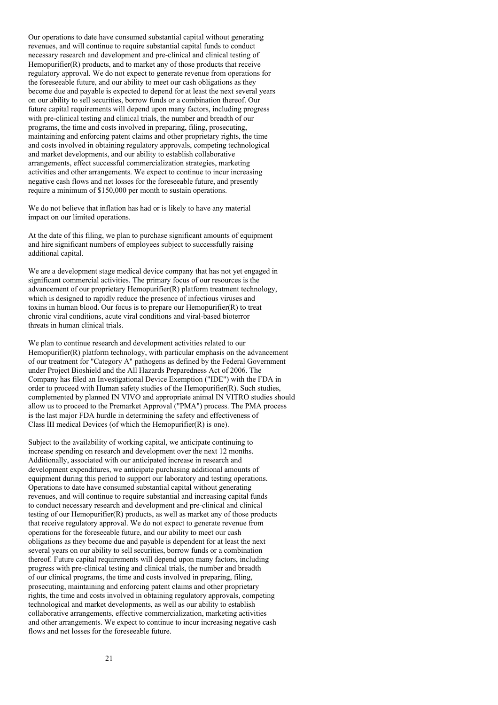Our operations to date have consumed substantial capital without generating revenues, and will continue to require substantial capital funds to conduct necessary research and development and pre-clinical and clinical testing of Hemopurifier(R) products, and to market any of those products that receive regulatory approval. We do not expect to generate revenue from operations for the foreseeable future, and our ability to meet our cash obligations as they become due and payable is expected to depend for at least the next several years on our ability to sell securities, borrow funds or a combination thereof. Our future capital requirements will depend upon many factors, including progress with pre-clinical testing and clinical trials, the number and breadth of our programs, the time and costs involved in preparing, filing, prosecuting, maintaining and enforcing patent claims and other proprietary rights, the time and costs involved in obtaining regulatory approvals, competing technological and market developments, and our ability to establish collaborative arrangements, effect successful commercialization strategies, marketing activities and other arrangements. We expect to continue to incur increasing negative cash flows and net losses for the foreseeable future, and presently require a minimum of \$150,000 per month to sustain operations.

We do not believe that inflation has had or is likely to have any material impact on our limited operations.

At the date of this filing, we plan to purchase significant amounts of equipment and hire significant numbers of employees subject to successfully raising additional capital.

We are a development stage medical device company that has not yet engaged in significant commercial activities. The primary focus of our resources is the advancement of our proprietary Hemopurifier(R) platform treatment technology, which is designed to rapidly reduce the presence of infectious viruses and toxins in human blood. Our focus is to prepare our Hemopurifier(R) to treat chronic viral conditions, acute viral conditions and viral-based bioterror threats in human clinical trials.

We plan to continue research and development activities related to our Hemopurifier $(R)$  platform technology, with particular emphasis on the advancement of our treatment for "Category A" pathogens as defined by the Federal Government under Project Bioshield and the All Hazards Preparedness Act of 2006. The Company has filed an Investigational Device Exemption ("IDE") with the FDA in order to proceed with Human safety studies of the Hemopurifier(R). Such studies, complemented by planned IN VIVO and appropriate animal IN VITRO studies should allow us to proceed to the Premarket Approval ("PMA") process. The PMA process is the last major FDA hurdle in determining the safety and effectiveness of Class III medical Devices (of which the Hemopurifier(R) is one).

Subject to the availability of working capital, we anticipate continuing to increase spending on research and development over the next 12 months. Additionally, associated with our anticipated increase in research and development expenditures, we anticipate purchasing additional amounts of equipment during this period to support our laboratory and testing operations. Operations to date have consumed substantial capital without generating revenues, and will continue to require substantial and increasing capital funds to conduct necessary research and development and pre-clinical and clinical testing of our Hemopurifier(R) products, as well as market any of those products that receive regulatory approval. We do not expect to generate revenue from operations for the foreseeable future, and our ability to meet our cash obligations as they become due and payable is dependent for at least the next several years on our ability to sell securities, borrow funds or a combination thereof. Future capital requirements will depend upon many factors, including progress with pre-clinical testing and clinical trials, the number and breadth of our clinical programs, the time and costs involved in preparing, filing, prosecuting, maintaining and enforcing patent claims and other proprietary rights, the time and costs involved in obtaining regulatory approvals, competing technological and market developments, as well as our ability to establish collaborative arrangements, effective commercialization, marketing activities and other arrangements. We expect to continue to incur increasing negative cash flows and net losses for the foreseeable future.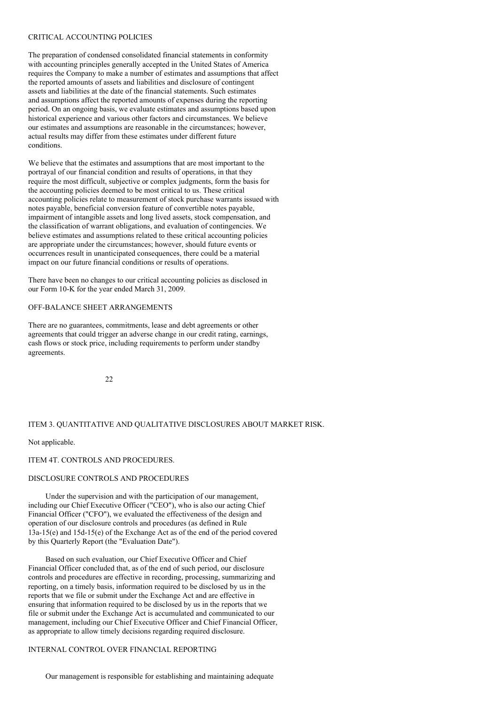#### CRITICAL ACCOUNTING POLICIES

The preparation of condensed consolidated financial statements in conformity with accounting principles generally accepted in the United States of America requires the Company to make a number of estimates and assumptions that affect the reported amounts of assets and liabilities and disclosure of contingent assets and liabilities at the date of the financial statements. Such estimates and assumptions affect the reported amounts of expenses during the reporting period. On an ongoing basis, we evaluate estimates and assumptions based upon historical experience and various other factors and circumstances. We believe our estimates and assumptions are reasonable in the circumstances; however, actual results may differ from these estimates under different future conditions.

We believe that the estimates and assumptions that are most important to the portrayal of our financial condition and results of operations, in that they require the most difficult, subjective or complex judgments, form the basis for the accounting policies deemed to be most critical to us. These critical accounting policies relate to measurement of stock purchase warrants issued with notes payable, beneficial conversion feature of convertible notes payable, impairment of intangible assets and long lived assets, stock compensation, and the classification of warrant obligations, and evaluation of contingencies. We believe estimates and assumptions related to these critical accounting policies are appropriate under the circumstances; however, should future events or occurrences result in unanticipated consequences, there could be a material impact on our future financial conditions or results of operations.

There have been no changes to our critical accounting policies as disclosed in our Form 10-K for the year ended March 31, 2009.

# OFF-BALANCE SHEET ARRANGEMENTS

There are no guarantees, commitments, lease and debt agreements or other agreements that could trigger an adverse change in our credit rating, earnings, cash flows or stock price, including requirements to perform under standby agreements.

22

# ITEM 3. QUANTITATIVE AND QUALITATIVE DISCLOSURES ABOUT MARKET RISK.

#### Not applicable.

ITEM 4T. CONTROLS AND PROCEDURES.

## DISCLOSURE CONTROLS AND PROCEDURES

Under the supervision and with the participation of our management, including our Chief Executive Officer ("CEO"), who is also our acting Chief Financial Officer ("CFO"), we evaluated the effectiveness of the design and operation of our disclosure controls and procedures (as defined in Rule 13a-15(e) and 15d-15(e) of the Exchange Act as of the end of the period covered by this Quarterly Report (the "Evaluation Date").

Based on such evaluation, our Chief Executive Officer and Chief Financial Officer concluded that, as of the end of such period, our disclosure controls and procedures are effective in recording, processing, summarizing and reporting, on a timely basis, information required to be disclosed by us in the reports that we file or submit under the Exchange Act and are effective in ensuring that information required to be disclosed by us in the reports that we file or submit under the Exchange Act is accumulated and communicated to our management, including our Chief Executive Officer and Chief Financial Officer, as appropriate to allow timely decisions regarding required disclosure.

# INTERNAL CONTROL OVER FINANCIAL REPORTING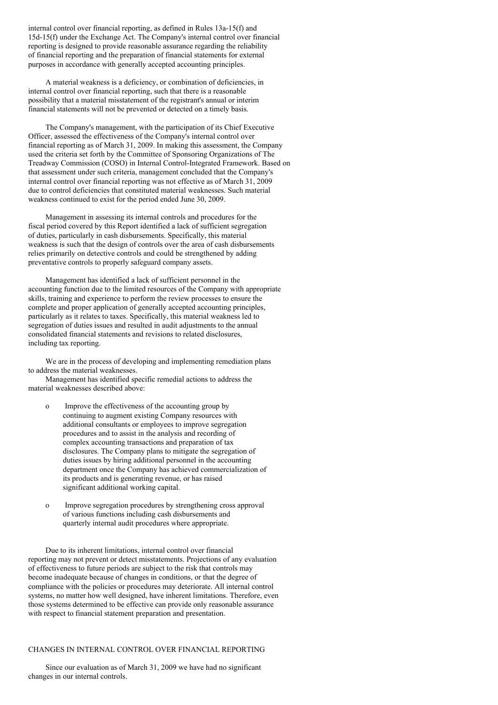internal control over financial reporting, as defined in Rules 13a-15(f) and 15d-15(f) under the Exchange Act. The Company's internal control over financial reporting is designed to provide reasonable assurance regarding the reliability of financial reporting and the preparation of financial statements for external purposes in accordance with generally accepted accounting principles.

A material weakness is a deficiency, or combination of deficiencies, in internal control over financial reporting, such that there is a reasonable possibility that a material misstatement of the registrant's annual or interim financial statements will not be prevented or detected on a timely basis.

The Company's management, with the participation of its Chief Executive Officer, assessed the effectiveness of the Company's internal control over financial reporting as of March 31, 2009. In making this assessment, the Company used the criteria set forth by the Committee of Sponsoring Organizations of The Treadway Commission (COSO) in Internal Control-Integrated Framework. Based on that assessment under such criteria, management concluded that the Company's internal control over financial reporting was not effective as of March 31, 2009 due to control deficiencies that constituted material weaknesses. Such material weakness continued to exist for the period ended June 30, 2009.

Management in assessing its internal controls and procedures for the fiscal period covered by this Report identified a lack of sufficient segregation of duties, particularly in cash disbursements. Specifically, this material weakness is such that the design of controls over the area of cash disbursements relies primarily on detective controls and could be strengthened by adding preventative controls to properly safeguard company assets.

Management has identified a lack of sufficient personnel in the accounting function due to the limited resources of the Company with appropriate skills, training and experience to perform the review processes to ensure the complete and proper application of generally accepted accounting principles, particularly as it relates to taxes. Specifically, this material weakness led to segregation of duties issues and resulted in audit adjustments to the annual consolidated financial statements and revisions to related disclosures, including tax reporting.

We are in the process of developing and implementing remediation plans to address the material weaknesses.

Management has identified specific remedial actions to address the material weaknesses described above:

- o Improve the effectiveness of the accounting group by continuing to augment existing Company resources with additional consultants or employees to improve segregation procedures and to assist in the analysis and recording of complex accounting transactions and preparation of tax disclosures. The Company plans to mitigate the segregation of duties issues by hiring additional personnel in the accounting department once the Company has achieved commercialization of its products and is generating revenue, or has raised significant additional working capital.
- o Improve segregation procedures by strengthening cross approval of various functions including cash disbursements and quarterly internal audit procedures where appropriate.

Due to its inherent limitations, internal control over financial reporting may not prevent or detect misstatements. Projections of any evaluation of effectiveness to future periods are subject to the risk that controls may become inadequate because of changes in conditions, or that the degree of compliance with the policies or procedures may deteriorate. All internal control systems, no matter how well designed, have inherent limitations. Therefore, even those systems determined to be effective can provide only reasonable assurance with respect to financial statement preparation and presentation.

# CHANGES IN INTERNAL CONTROL OVER FINANCIAL REPORTING

Since our evaluation as of March 31, 2009 we have had no significant changes in our internal controls.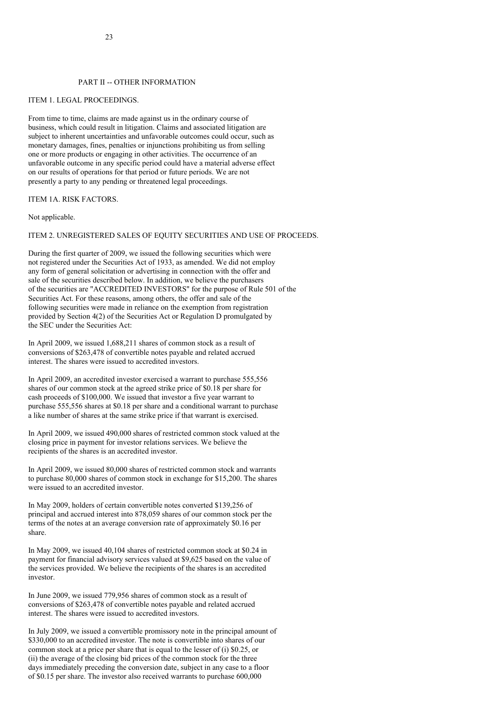#### PART II -- OTHER INFORMATION

#### ITEM 1. LEGAL PROCEEDINGS.

From time to time, claims are made against us in the ordinary course of business, which could result in litigation. Claims and associated litigation are subject to inherent uncertainties and unfavorable outcomes could occur, such as monetary damages, fines, penalties or injunctions prohibiting us from selling one or more products or engaging in other activities. The occurrence of an unfavorable outcome in any specific period could have a material adverse effect on our results of operations for that period or future periods. We are not presently a party to any pending or threatened legal proceedings.

ITEM 1A. RISK FACTORS.

Not applicable.

## ITEM 2. UNREGISTERED SALES OF EQUITY SECURITIES AND USE OF PROCEEDS.

During the first quarter of 2009, we issued the following securities which were not registered under the Securities Act of 1933, as amended. We did not employ any form of general solicitation or advertising in connection with the offer and sale of the securities described below. In addition, we believe the purchasers of the securities are "ACCREDITED INVESTORS" for the purpose of Rule 501 of the Securities Act. For these reasons, among others, the offer and sale of the following securities were made in reliance on the exemption from registration provided by Section 4(2) of the Securities Act or Regulation D promulgated by the SEC under the Securities Act:

In April 2009, we issued 1,688,211 shares of common stock as a result of conversions of \$263,478 of convertible notes payable and related accrued interest. The shares were issued to accredited investors.

In April 2009, an accredited investor exercised a warrant to purchase 555,556 shares of our common stock at the agreed strike price of \$0.18 per share for cash proceeds of \$100,000. We issued that investor a five year warrant to purchase 555,556 shares at \$0.18 per share and a conditional warrant to purchase a like number of shares at the same strike price if that warrant is exercised.

In April 2009, we issued 490,000 shares of restricted common stock valued at the closing price in payment for investor relations services. We believe the recipients of the shares is an accredited investor.

In April 2009, we issued 80,000 shares of restricted common stock and warrants to purchase 80,000 shares of common stock in exchange for \$15,200. The shares were issued to an accredited investor.

In May 2009, holders of certain convertible notes converted \$139,256 of principal and accrued interest into 878,059 shares of our common stock per the terms of the notes at an average conversion rate of approximately \$0.16 per share.

In May 2009, we issued 40,104 shares of restricted common stock at \$0.24 in payment for financial advisory services valued at \$9,625 based on the value of the services provided. We believe the recipients of the shares is an accredited investor.

In June 2009, we issued 779,956 shares of common stock as a result of conversions of \$263,478 of convertible notes payable and related accrued interest. The shares were issued to accredited investors.

In July 2009, we issued a convertible promissory note in the principal amount of \$330,000 to an accredited investor. The note is convertible into shares of our common stock at a price per share that is equal to the lesser of (i) \$0.25, or (ii) the average of the closing bid prices of the common stock for the three days immediately preceding the conversion date, subject in any case to a floor of \$0.15 per share. The investor also received warrants to purchase 600,000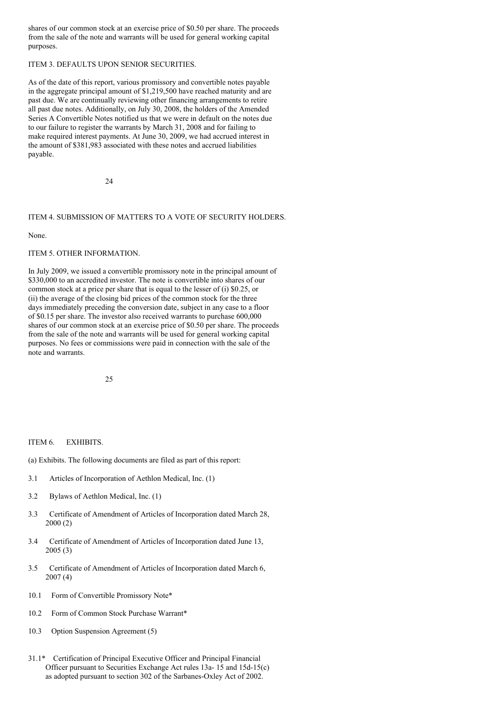shares of our common stock at an exercise price of \$0.50 per share. The proceeds from the sale of the note and warrants will be used for general working capital purposes.

# ITEM 3. DEFAULTS UPON SENIOR SECURITIES.

As of the date of this report, various promissory and convertible notes payable in the aggregate principal amount of \$1,219,500 have reached maturity and are past due. We are continually reviewing other financing arrangements to retire all past due notes. Additionally, on July 30, 2008, the holders of the Amended Series A Convertible Notes notified us that we were in default on the notes due to our failure to register the warrants by March 31, 2008 and for failing to make required interest payments. At June 30, 2009, we had accrued interest in the amount of \$381,983 associated with these notes and accrued liabilities payable.

 $24$ 

# ITEM 4. SUBMISSION OF MATTERS TO A VOTE OF SECURITY HOLDERS.

#### None.

#### ITEM 5. OTHER INFORMATION.

In July 2009, we issued a convertible promissory note in the principal amount of \$330,000 to an accredited investor. The note is convertible into shares of our common stock at a price per share that is equal to the lesser of (i) \$0.25, or (ii) the average of the closing bid prices of the common stock for the three days immediately preceding the conversion date, subject in any case to a floor of \$0.15 per share. The investor also received warrants to purchase 600,000 shares of our common stock at an exercise price of \$0.50 per share. The proceeds from the sale of the note and warrants will be used for general working capital purposes. No fees or commissions were paid in connection with the sale of the note and warrants.

25

## ITEM 6. EXHIBITS.

(a) Exhibits. The following documents are filed as part of this report:

- 3.1 Articles of Incorporation of Aethlon Medical, Inc. (1)
- 3.2 Bylaws of Aethlon Medical, Inc. (1)
- 3.3 Certificate of Amendment of Articles of Incorporation dated March 28, 2000 (2)
- 3.4 Certificate of Amendment of Articles of Incorporation dated June 13, 2005 (3)
- 3.5 Certificate of Amendment of Articles of Incorporation dated March 6, 2007 (4)
- 10.1 Form of Convertible Promissory Note\*
- 10.2 Form of Common Stock Purchase Warrant\*
- 10.3 Option Suspension Agreement (5)
- 31.1\* Certification of Principal Executive Officer and Principal Financial Officer pursuant to Securities Exchange Act rules 13a- 15 and 15d-15(c) as adopted pursuant to section 302 of the Sarbanes-Oxley Act of 2002.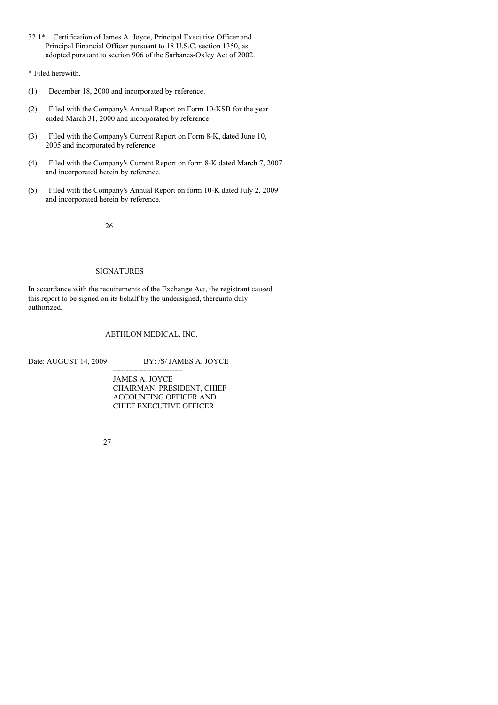- 32.1\* Certification of James A. Joyce, Principal Executive Officer and Principal Financial Officer pursuant to 18 U.S.C. section 1350, as adopted pursuant to section 906 of the Sarbanes-Oxley Act of 2002.
- \* Filed herewith.
- (1) December 18, 2000 and incorporated by reference.
- (2) Filed with the Company's Annual Report on Form 10-KSB for the year ended March 31, 2000 and incorporated by reference.
- (3) Filed with the Company's Current Report on Form 8-K, dated June 10, 2005 and incorporated by reference.
- (4) Filed with the Company's Current Report on form 8-K dated March 7, 2007 and incorporated herein by reference.
- (5) Filed with the Company's Annual Report on form 10-K dated July 2, 2009 and incorporated herein by reference.

26

# SIGNATURES

In accordance with the requirements of the Exchange Act, the registrant caused this report to be signed on its behalf by the undersigned, thereunto duly authorized.

AETHLON MEDICAL, INC.

Date: AUGUST 14, 2009 BY: /S/ JAMES A. JOYCE

--------------------------- JAMES A. JOYCE CHAIRMAN, PRESIDENT, CHIEF ACCOUNTING OFFICER AND CHIEF EXECUTIVE OFFICER

27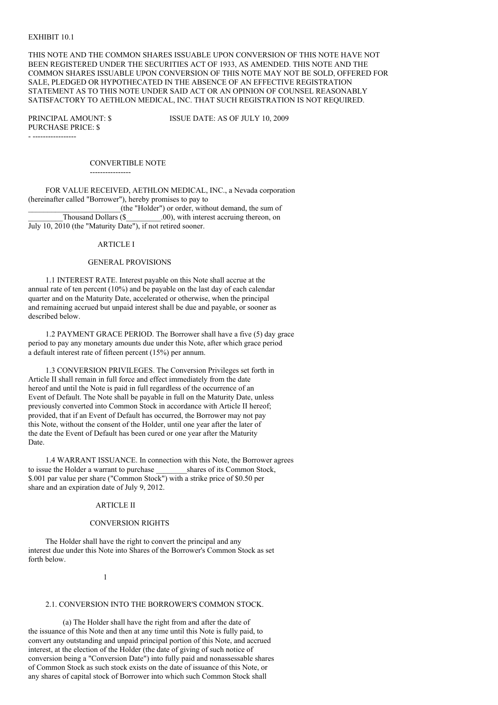#### EXHIBIT 10.1

THIS NOTE AND THE COMMON SHARES ISSUABLE UPON CONVERSION OF THIS NOTE HAVE NOT BEEN REGISTERED UNDER THE SECURITIES ACT OF 1933, AS AMENDED. THIS NOTE AND THE COMMON SHARES ISSUABLE UPON CONVERSION OF THIS NOTE MAY NOT BE SOLD, OFFERED FOR SALE, PLEDGED OR HYPOTHECATED IN THE ABSENCE OF AN EFFECTIVE REGISTRATION STATEMENT AS TO THIS NOTE UNDER SAID ACT OR AN OPINION OF COUNSEL REASONABLY SATISFACTORY TO AETHLON MEDICAL, INC. THAT SUCH REGISTRATION IS NOT REQUIRED.

PURCHASE PRICE: \$ - -----------------

PRINCIPAL AMOUNT: \$ ISSUE DATE: AS OF JULY 10, 2009

CONVERTIBLE NOTE

----------------

FOR VALUE RECEIVED, AETHLON MEDICAL, INC., a Nevada corporation (hereinafter called "Borrower"), hereby promises to pay to \_\_\_\_\_\_\_\_\_\_\_\_\_\_\_\_\_\_\_\_\_\_\_\_(the "Holder") or order, without demand, the sum of \_\_\_\_\_\_\_\_\_Thousand Dollars (\$\_\_\_\_\_\_\_\_\_.00), with interest accruing thereon, on July 10, 2010 (the "Maturity Date"), if not retired sooner.

#### ARTICLE I

#### GENERAL PROVISIONS

1.1 INTEREST RATE. Interest payable on this Note shall accrue at the annual rate of ten percent (10%) and be payable on the last day of each calendar quarter and on the Maturity Date, accelerated or otherwise, when the principal and remaining accrued but unpaid interest shall be due and payable, or sooner as described below.

1.2 PAYMENT GRACE PERIOD. The Borrower shall have a five (5) day grace period to pay any monetary amounts due under this Note, after which grace period a default interest rate of fifteen percent (15%) per annum.

1.3 CONVERSION PRIVILEGES. The Conversion Privileges set forth in Article II shall remain in full force and effect immediately from the date hereof and until the Note is paid in full regardless of the occurrence of an Event of Default. The Note shall be payable in full on the Maturity Date, unless previously converted into Common Stock in accordance with Article II hereof; provided, that if an Event of Default has occurred, the Borrower may not pay this Note, without the consent of the Holder, until one year after the later of the date the Event of Default has been cured or one year after the Maturity Date.

1.4 WARRANT ISSUANCE. In connection with this Note, the Borrower agrees to issue the Holder a warrant to purchase shares of its Common Stock, \$.001 par value per share ("Common Stock") with a strike price of \$0.50 per share and an expiration date of July 9, 2012.

#### ARTICLE II

#### CONVERSION RIGHTS

The Holder shall have the right to convert the principal and any interest due under this Note into Shares of the Borrower's Common Stock as set forth below.

#### 1

#### 2.1. CONVERSION INTO THE BORROWER'S COMMON STOCK.

(a) The Holder shall have the right from and after the date of the issuance of this Note and then at any time until this Note is fully paid, to convert any outstanding and unpaid principal portion of this Note, and accrued interest, at the election of the Holder (the date of giving of such notice of conversion being a "Conversion Date") into fully paid and nonassessable shares of Common Stock as such stock exists on the date of issuance of this Note, or any shares of capital stock of Borrower into which such Common Stock shall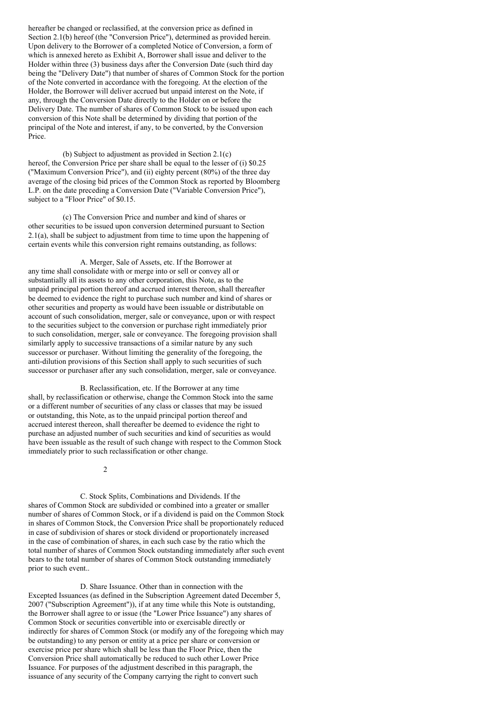hereafter be changed or reclassified, at the conversion price as defined in Section 2.1(b) hereof (the "Conversion Price"), determined as provided herein. Upon delivery to the Borrower of a completed Notice of Conversion, a form of which is annexed hereto as Exhibit A, Borrower shall issue and deliver to the Holder within three (3) business days after the Conversion Date (such third day being the "Delivery Date") that number of shares of Common Stock for the portion of the Note converted in accordance with the foregoing. At the election of the Holder, the Borrower will deliver accrued but unpaid interest on the Note, if any, through the Conversion Date directly to the Holder on or before the Delivery Date. The number of shares of Common Stock to be issued upon each conversion of this Note shall be determined by dividing that portion of the principal of the Note and interest, if any, to be converted, by the Conversion Price.

(b) Subject to adjustment as provided in Section 2.1(c) hereof, the Conversion Price per share shall be equal to the lesser of (i) \$0.25 ("Maximum Conversion Price"), and (ii) eighty percent (80%) of the three day average of the closing bid prices of the Common Stock as reported by Bloomberg L.P. on the date preceding a Conversion Date ("Variable Conversion Price"), subject to a "Floor Price" of \$0.15.

(c) The Conversion Price and number and kind of shares or other securities to be issued upon conversion determined pursuant to Section 2.1(a), shall be subject to adjustment from time to time upon the happening of certain events while this conversion right remains outstanding, as follows:

A. Merger, Sale of Assets, etc. If the Borrower at any time shall consolidate with or merge into or sell or convey all or substantially all its assets to any other corporation, this Note, as to the unpaid principal portion thereof and accrued interest thereon, shall thereafter be deemed to evidence the right to purchase such number and kind of shares or other securities and property as would have been issuable or distributable on account of such consolidation, merger, sale or conveyance, upon or with respect to the securities subject to the conversion or purchase right immediately prior to such consolidation, merger, sale or conveyance. The foregoing provision shall similarly apply to successive transactions of a similar nature by any such successor or purchaser. Without limiting the generality of the foregoing, the anti-dilution provisions of this Section shall apply to such securities of such successor or purchaser after any such consolidation, merger, sale or conveyance.

B. Reclassification, etc. If the Borrower at any time shall, by reclassification or otherwise, change the Common Stock into the same or a different number of securities of any class or classes that may be issued or outstanding, this Note, as to the unpaid principal portion thereof and accrued interest thereon, shall thereafter be deemed to evidence the right to purchase an adjusted number of such securities and kind of securities as would have been issuable as the result of such change with respect to the Common Stock immediately prior to such reclassification or other change.

2

C. Stock Splits, Combinations and Dividends. If the shares of Common Stock are subdivided or combined into a greater or smaller number of shares of Common Stock, or if a dividend is paid on the Common Stock in shares of Common Stock, the Conversion Price shall be proportionately reduced in case of subdivision of shares or stock dividend or proportionately increased in the case of combination of shares, in each such case by the ratio which the total number of shares of Common Stock outstanding immediately after such event bears to the total number of shares of Common Stock outstanding immediately prior to such event..

D. Share Issuance. Other than in connection with the Excepted Issuances (as defined in the Subscription Agreement dated December 5, 2007 ("Subscription Agreement")), if at any time while this Note is outstanding, the Borrower shall agree to or issue (the "Lower Price Issuance") any shares of Common Stock or securities convertible into or exercisable directly or indirectly for shares of Common Stock (or modify any of the foregoing which may be outstanding) to any person or entity at a price per share or conversion or exercise price per share which shall be less than the Floor Price, then the Conversion Price shall automatically be reduced to such other Lower Price Issuance. For purposes of the adjustment described in this paragraph, the issuance of any security of the Company carrying the right to convert such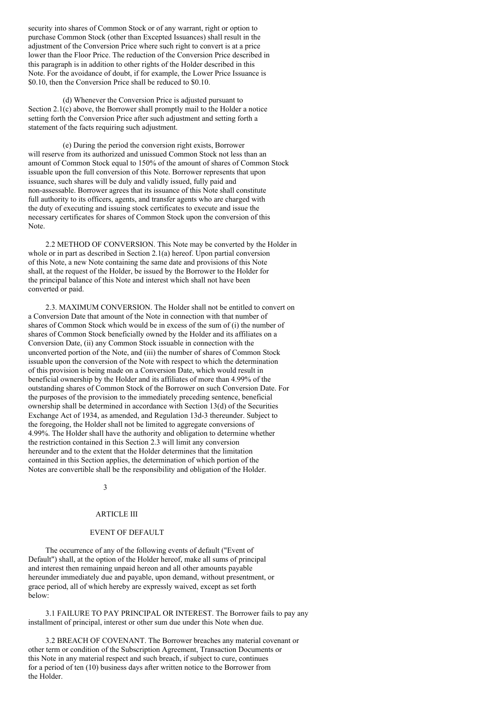security into shares of Common Stock or of any warrant, right or option to purchase Common Stock (other than Excepted Issuances) shall result in the adjustment of the Conversion Price where such right to convert is at a price lower than the Floor Price. The reduction of the Conversion Price described in this paragraph is in addition to other rights of the Holder described in this Note. For the avoidance of doubt, if for example, the Lower Price Issuance is \$0.10, then the Conversion Price shall be reduced to \$0.10.

(d) Whenever the Conversion Price is adjusted pursuant to Section  $2.1(c)$  above, the Borrower shall promptly mail to the Holder a notice setting forth the Conversion Price after such adjustment and setting forth a statement of the facts requiring such adjustment.

(e) During the period the conversion right exists, Borrower will reserve from its authorized and unissued Common Stock not less than an amount of Common Stock equal to 150% of the amount of shares of Common Stock issuable upon the full conversion of this Note. Borrower represents that upon issuance, such shares will be duly and validly issued, fully paid and non-assessable. Borrower agrees that its issuance of this Note shall constitute full authority to its officers, agents, and transfer agents who are charged with the duty of executing and issuing stock certificates to execute and issue the necessary certificates for shares of Common Stock upon the conversion of this Note.

2.2 METHOD OF CONVERSION. This Note may be converted by the Holder in whole or in part as described in Section 2.1(a) hereof. Upon partial conversion of this Note, a new Note containing the same date and provisions of this Note shall, at the request of the Holder, be issued by the Borrower to the Holder for the principal balance of this Note and interest which shall not have been converted or paid.

2.3. MAXIMUM CONVERSION. The Holder shall not be entitled to convert on a Conversion Date that amount of the Note in connection with that number of shares of Common Stock which would be in excess of the sum of (i) the number of shares of Common Stock beneficially owned by the Holder and its affiliates on a Conversion Date, (ii) any Common Stock issuable in connection with the unconverted portion of the Note, and (iii) the number of shares of Common Stock issuable upon the conversion of the Note with respect to which the determination of this provision is being made on a Conversion Date, which would result in beneficial ownership by the Holder and its affiliates of more than 4.99% of the outstanding shares of Common Stock of the Borrower on such Conversion Date. For the purposes of the provision to the immediately preceding sentence, beneficial ownership shall be determined in accordance with Section 13(d) of the Securities Exchange Act of 1934, as amended, and Regulation 13d-3 thereunder. Subject to the foregoing, the Holder shall not be limited to aggregate conversions of 4.99%. The Holder shall have the authority and obligation to determine whether the restriction contained in this Section 2.3 will limit any conversion hereunder and to the extent that the Holder determines that the limitation contained in this Section applies, the determination of which portion of the Notes are convertible shall be the responsibility and obligation of the Holder.

## 3

## ARTICLE III

## EVENT OF DEFAULT

The occurrence of any of the following events of default ("Event of Default") shall, at the option of the Holder hereof, make all sums of principal and interest then remaining unpaid hereon and all other amounts payable hereunder immediately due and payable, upon demand, without presentment, or grace period, all of which hereby are expressly waived, except as set forth below:

3.1 FAILURE TO PAY PRINCIPAL OR INTEREST. The Borrower fails to pay any installment of principal, interest or other sum due under this Note when due.

3.2 BREACH OF COVENANT. The Borrower breaches any material covenant or other term or condition of the Subscription Agreement, Transaction Documents or this Note in any material respect and such breach, if subject to cure, continues for a period of ten (10) business days after written notice to the Borrower from the Holder.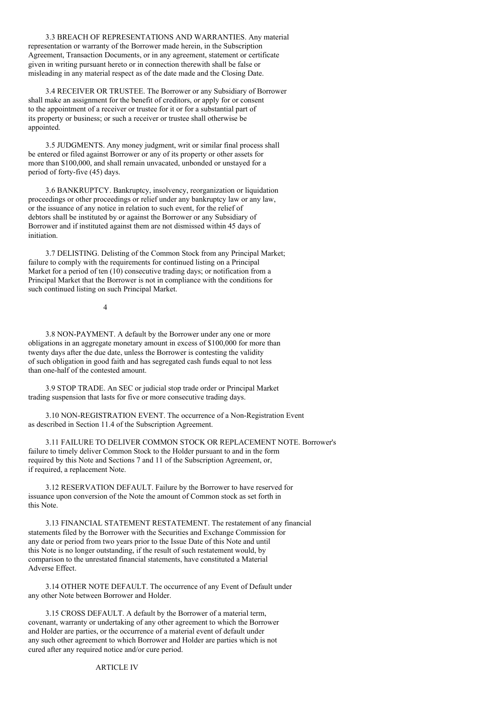3.3 BREACH OF REPRESENTATIONS AND WARRANTIES. Any material representation or warranty of the Borrower made herein, in the Subscription Agreement, Transaction Documents, or in any agreement, statement or certificate given in writing pursuant hereto or in connection therewith shall be false or misleading in any material respect as of the date made and the Closing Date.

3.4 RECEIVER OR TRUSTEE. The Borrower or any Subsidiary of Borrower shall make an assignment for the benefit of creditors, or apply for or consent to the appointment of a receiver or trustee for it or for a substantial part of its property or business; or such a receiver or trustee shall otherwise be appointed.

3.5 JUDGMENTS. Any money judgment, writ or similar final process shall be entered or filed against Borrower or any of its property or other assets for more than \$100,000, and shall remain unvacated, unbonded or unstayed for a period of forty-five (45) days.

3.6 BANKRUPTCY. Bankruptcy, insolvency, reorganization or liquidation proceedings or other proceedings or relief under any bankruptcy law or any law, or the issuance of any notice in relation to such event, for the relief of debtors shall be instituted by or against the Borrower or any Subsidiary of Borrower and if instituted against them are not dismissed within 45 days of initiation.

3.7 DELISTING. Delisting of the Common Stock from any Principal Market; failure to comply with the requirements for continued listing on a Principal Market for a period of ten  $(10)$  consecutive trading days; or notification from a Principal Market that the Borrower is not in compliance with the conditions for such continued listing on such Principal Market.

4

3.8 NON-PAYMENT. A default by the Borrower under any one or more obligations in an aggregate monetary amount in excess of \$100,000 for more than twenty days after the due date, unless the Borrower is contesting the validity of such obligation in good faith and has segregated cash funds equal to not less than one-half of the contested amount.

3.9 STOP TRADE. An SEC or judicial stop trade order or Principal Market trading suspension that lasts for five or more consecutive trading days.

3.10 NON-REGISTRATION EVENT. The occurrence of a Non-Registration Event as described in Section 11.4 of the Subscription Agreement.

3.11 FAILURE TO DELIVER COMMON STOCK OR REPLACEMENT NOTE. Borrower's failure to timely deliver Common Stock to the Holder pursuant to and in the form required by this Note and Sections 7 and 11 of the Subscription Agreement, or, if required, a replacement Note.

3.12 RESERVATION DEFAULT. Failure by the Borrower to have reserved for issuance upon conversion of the Note the amount of Common stock as set forth in this Note.

3.13 FINANCIAL STATEMENT RESTATEMENT. The restatement of any financial statements filed by the Borrower with the Securities and Exchange Commission for any date or period from two years prior to the Issue Date of this Note and until this Note is no longer outstanding, if the result of such restatement would, by comparison to the unrestated financial statements, have constituted a Material Adverse Effect.

3.14 OTHER NOTE DEFAULT. The occurrence of any Event of Default under any other Note between Borrower and Holder.

3.15 CROSS DEFAULT. A default by the Borrower of a material term, covenant, warranty or undertaking of any other agreement to which the Borrower and Holder are parties, or the occurrence of a material event of default under any such other agreement to which Borrower and Holder are parties which is not cured after any required notice and/or cure period.

ARTICLE IV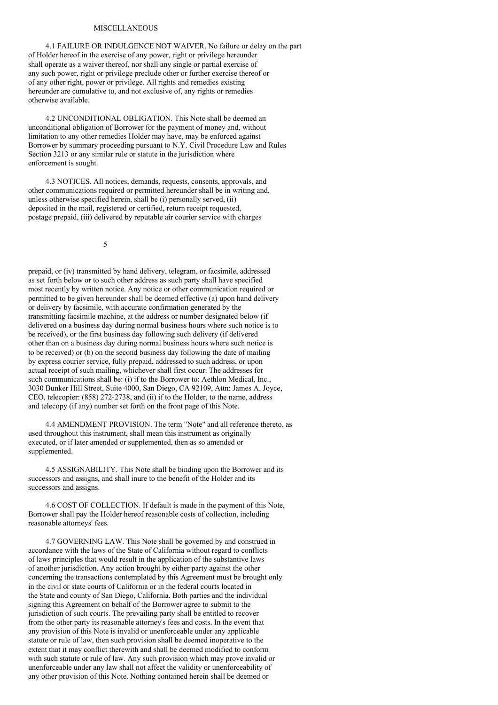#### **MISCELLANEOUS**

4.1 FAILURE OR INDULGENCE NOT WAIVER. No failure or delay on the part of Holder hereof in the exercise of any power, right or privilege hereunder shall operate as a waiver thereof, nor shall any single or partial exercise of any such power, right or privilege preclude other or further exercise thereof or of any other right, power or privilege. All rights and remedies existing hereunder are cumulative to, and not exclusive of, any rights or remedies otherwise available.

4.2 UNCONDITIONAL OBLIGATION. This Note shall be deemed an unconditional obligation of Borrower for the payment of money and, without limitation to any other remedies Holder may have, may be enforced against Borrower by summary proceeding pursuant to N.Y. Civil Procedure Law and Rules Section 3213 or any similar rule or statute in the jurisdiction where enforcement is sought.

4.3 NOTICES. All notices, demands, requests, consents, approvals, and other communications required or permitted hereunder shall be in writing and, unless otherwise specified herein, shall be (i) personally served, (ii) deposited in the mail, registered or certified, return receipt requested, postage prepaid, (iii) delivered by reputable air courier service with charges

5

prepaid, or (iv) transmitted by hand delivery, telegram, or facsimile, addressed as set forth below or to such other address as such party shall have specified most recently by written notice. Any notice or other communication required or permitted to be given hereunder shall be deemed effective (a) upon hand delivery or delivery by facsimile, with accurate confirmation generated by the transmitting facsimile machine, at the address or number designated below (if delivered on a business day during normal business hours where such notice is to be received), or the first business day following such delivery (if delivered other than on a business day during normal business hours where such notice is to be received) or (b) on the second business day following the date of mailing by express courier service, fully prepaid, addressed to such address, or upon actual receipt of such mailing, whichever shall first occur. The addresses for such communications shall be: (i) if to the Borrower to: Aethlon Medical, Inc., 3030 Bunker Hill Street, Suite 4000, San Diego, CA 92109, Attn: James A. Joyce, CEO, telecopier: (858) 272-2738, and (ii) if to the Holder, to the name, address and telecopy (if any) number set forth on the front page of this Note.

4.4 AMENDMENT PROVISION. The term "Note" and all reference thereto, as used throughout this instrument, shall mean this instrument as originally executed, or if later amended or supplemented, then as so amended or supplemented.

4.5 ASSIGNABILITY. This Note shall be binding upon the Borrower and its successors and assigns, and shall inure to the benefit of the Holder and its successors and assigns.

4.6 COST OF COLLECTION. If default is made in the payment of this Note, Borrower shall pay the Holder hereof reasonable costs of collection, including reasonable attorneys' fees.

4.7 GOVERNING LAW. This Note shall be governed by and construed in accordance with the laws of the State of California without regard to conflicts of laws principles that would result in the application of the substantive laws of another jurisdiction. Any action brought by either party against the other concerning the transactions contemplated by this Agreement must be brought only in the civil or state courts of California or in the federal courts located in the State and county of San Diego, California. Both parties and the individual signing this Agreement on behalf of the Borrower agree to submit to the jurisdiction of such courts. The prevailing party shall be entitled to recover from the other party its reasonable attorney's fees and costs. In the event that any provision of this Note is invalid or unenforceable under any applicable statute or rule of law, then such provision shall be deemed inoperative to the extent that it may conflict therewith and shall be deemed modified to conform with such statute or rule of law. Any such provision which may prove invalid or unenforceable under any law shall not affect the validity or unenforceability of any other provision of this Note. Nothing contained herein shall be deemed or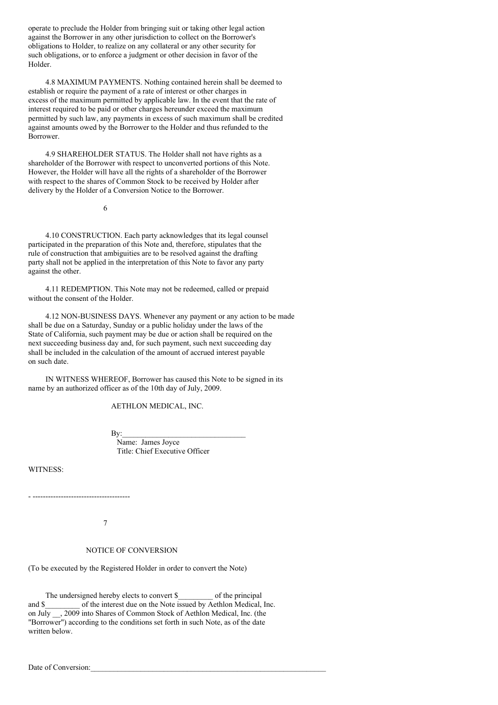operate to preclude the Holder from bringing suit or taking other legal action against the Borrower in any other jurisdiction to collect on the Borrower's obligations to Holder, to realize on any collateral or any other security for such obligations, or to enforce a judgment or other decision in favor of the Holder.

4.8 MAXIMUM PAYMENTS. Nothing contained herein shall be deemed to establish or require the payment of a rate of interest or other charges in excess of the maximum permitted by applicable law. In the event that the rate of interest required to be paid or other charges hereunder exceed the maximum permitted by such law, any payments in excess of such maximum shall be credited against amounts owed by the Borrower to the Holder and thus refunded to the Borrower.

4.9 SHAREHOLDER STATUS. The Holder shall not have rights as a shareholder of the Borrower with respect to unconverted portions of this Note. However, the Holder will have all the rights of a shareholder of the Borrower with respect to the shares of Common Stock to be received by Holder after delivery by the Holder of a Conversion Notice to the Borrower.

6

4.10 CONSTRUCTION. Each party acknowledges that its legal counsel participated in the preparation of this Note and, therefore, stipulates that the rule of construction that ambiguities are to be resolved against the drafting party shall not be applied in the interpretation of this Note to favor any party against the other.

4.11 REDEMPTION. This Note may not be redeemed, called or prepaid without the consent of the Holder.

4.12 NON-BUSINESS DAYS. Whenever any payment or any action to be made shall be due on a Saturday, Sunday or a public holiday under the laws of the State of California, such payment may be due or action shall be required on the next succeeding business day and, for such payment, such next succeeding day shall be included in the calculation of the amount of accrued interest payable on such date.

IN WITNESS WHEREOF, Borrower has caused this Note to be signed in its name by an authorized officer as of the 10th day of July, 2009.

AETHLON MEDICAL, INC.

 $\mathbf{By:}$ 

Name: James Joyce Title: Chief Executive Officer

WITNESS:

- --------------------------------------

7

NOTICE OF CONVERSION

(To be executed by the Registered Holder in order to convert the Note)

The undersigned hereby elects to convert  $\$  of the principal and \$ of the interest due on the Note issued by Aethlon Medical, Inc. on July \_\_, 2009 into Shares of Common Stock of Aethlon Medical, Inc. (the "Borrower") according to the conditions set forth in such Note, as of the date written below.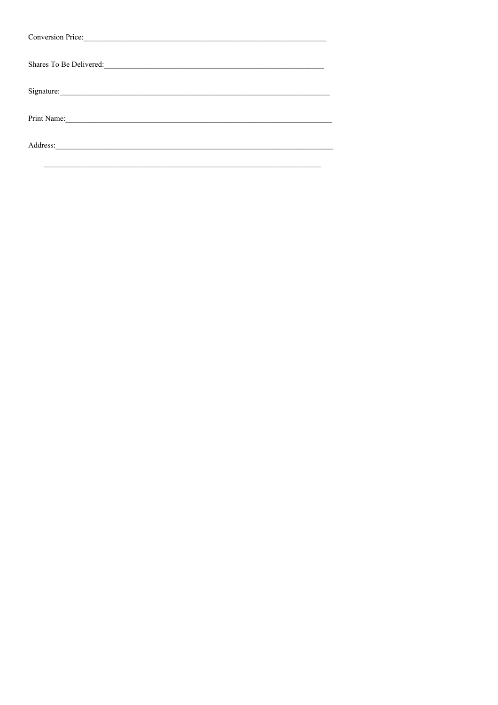| Conversion Price:                                                                                                                                                                                                             |  |
|-------------------------------------------------------------------------------------------------------------------------------------------------------------------------------------------------------------------------------|--|
| Shares To Be Delivered: 2000 and 2000 and 2000 and 2000 and 2000 and 2000 and 2000 and 2000 and 2000 and 2000 and 2000 and 2000 and 2000 and 2000 and 2000 and 2000 and 2000 and 2000 and 2000 and 2000 and 2000 and 2000 and |  |
| Signature:                                                                                                                                                                                                                    |  |
| Print Name:                                                                                                                                                                                                                   |  |
| Address:<br><u> 1980 - Jan Sterling, mars and de format de la propinsie de la propinsie de la propinsie de la propinsie de la</u>                                                                                             |  |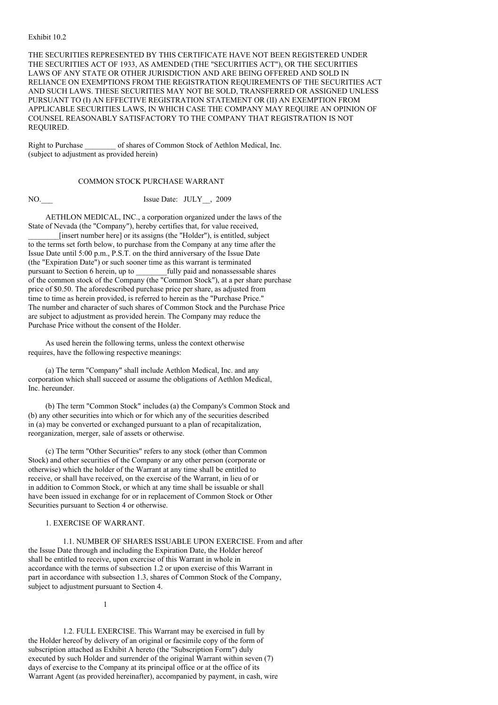#### Exhibit 10.2

THE SECURITIES REPRESENTED BY THIS CERTIFICATE HAVE NOT BEEN REGISTERED UNDER THE SECURITIES ACT OF 1933, AS AMENDED (THE "SECURITIES ACT"), OR THE SECURITIES LAWS OF ANY STATE OR OTHER JURISDICTION AND ARE BEING OFFERED AND SOLD IN RELIANCE ON EXEMPTIONS FROM THE REGISTRATION REQUIREMENTS OF THE SECURITIES ACT AND SUCH LAWS. THESE SECURITIES MAY NOT BE SOLD, TRANSFERRED OR ASSIGNED UNLESS PURSUANT TO (I) AN EFFECTIVE REGISTRATION STATEMENT OR (II) AN EXEMPTION FROM APPLICABLE SECURITIES LAWS, IN WHICH CASE THE COMPANY MAY REQUIRE AN OPINION OF COUNSEL REASONABLY SATISFACTORY TO THE COMPANY THAT REGISTRATION IS NOT REQUIRED.

Right to Purchase of shares of Common Stock of Aethlon Medical, Inc. (subject to adjustment as provided herein)

## COMMON STOCK PURCHASE WARRANT

NO. Issue Date: JULY , 2009

AETHLON MEDICAL, INC., a corporation organized under the laws of the State of Nevada (the "Company"), hereby certifies that, for value received, \_\_\_\_\_\_\_\_[insert number here] or its assigns (the "Holder"), is entitled, subject to the terms set forth below, to purchase from the Company at any time after the Issue Date until 5:00 p.m., P.S.T. on the third anniversary of the Issue Date (the "Expiration Date") or such sooner time as this warrant is terminated pursuant to Section 6 herein, up to fully paid and nonassessable shares of the common stock of the Company (the "Common Stock"), at a per share purchase price of \$0.50. The aforedescribed purchase price per share, as adjusted from time to time as herein provided, is referred to herein as the "Purchase Price." The number and character of such shares of Common Stock and the Purchase Price are subject to adjustment as provided herein. The Company may reduce the Purchase Price without the consent of the Holder.

As used herein the following terms, unless the context otherwise requires, have the following respective meanings:

(a) The term "Company" shall include Aethlon Medical, Inc. and any corporation which shall succeed or assume the obligations of Aethlon Medical, Inc. hereunder.

(b) The term "Common Stock" includes (a) the Company's Common Stock and (b) any other securities into which or for which any of the securities described in (a) may be converted or exchanged pursuant to a plan of recapitalization, reorganization, merger, sale of assets or otherwise.

(c) The term "Other Securities" refers to any stock (other than Common Stock) and other securities of the Company or any other person (corporate or otherwise) which the holder of the Warrant at any time shall be entitled to receive, or shall have received, on the exercise of the Warrant, in lieu of or in addition to Common Stock, or which at any time shall be issuable or shall have been issued in exchange for or in replacement of Common Stock or Other Securities pursuant to Section 4 or otherwise.

#### 1. EXERCISE OF WARRANT.

1.1. NUMBER OF SHARES ISSUABLE UPON EXERCISE. From and after the Issue Date through and including the Expiration Date, the Holder hereof shall be entitled to receive, upon exercise of this Warrant in whole in accordance with the terms of subsection 1.2 or upon exercise of this Warrant in part in accordance with subsection 1.3, shares of Common Stock of the Company, subject to adjustment pursuant to Section 4.

1

1.2. FULL EXERCISE. This Warrant may be exercised in full by the Holder hereof by delivery of an original or facsimile copy of the form of subscription attached as Exhibit A hereto (the "Subscription Form") duly executed by such Holder and surrender of the original Warrant within seven (7) days of exercise to the Company at its principal office or at the office of its Warrant Agent (as provided hereinafter), accompanied by payment, in cash, wire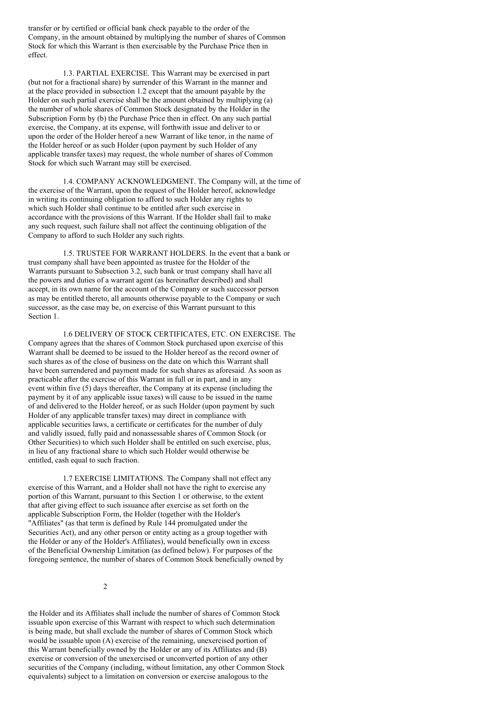transfer or by certified or official bank check payable to the order of the Company, in the amount obtained by multiplying the number of shares of Common Stock for which this Warrant is then exercisable by the Purchase Price then in effect.

1.3. PARTIAL EXERCISE. This Warrant may be exercised in part (but not for a fractional share) by surrender of this Warrant in the manner and at the place provided in subsection 1.2 except that the amount payable by the Holder on such partial exercise shall be the amount obtained by multiplying (a) the number of whole shares of Common Stock designated by the Holder in the Subscription Form by (b) the Purchase Price then in effect. On any such partial exercise, the Company, at its expense, will forthwith issue and deliver to or upon the order of the Holder hereof a new Warrant of like tenor, in the name of the Holder hereof or as such Holder (upon payment by such Holder of any applicable transfer taxes) may request, the whole number of shares of Common Stock for which such Warrant may still be exercised.

1.4. COMPANY ACKNOWLEDGMENT. The Company will, at the time of the exercise of the Warrant, upon the request of the Holder hereof, acknowledge in writing its continuing obligation to afford to such Holder any rights to which such Holder shall continue to be entitled after such exercise in accordance with the provisions of this Warrant. If the Holder shall fail to make any such request, such failure shall not affect the continuing obligation of the Company to afford to such Holder any such rights.

1.5. TRUSTEE FOR WARRANT HOLDERS. In the event that a bank or trust company shall have been appointed as trustee for the Holder of the Warrants pursuant to Subsection 3.2, such bank or trust company shall have all the powers and duties of a warrant agent (as hereinafter described) and shall accept, in its own name for the account of the Company or such successor person as may be entitled thereto, all amounts otherwise payable to the Company or such successor, as the case may be, on exercise of this Warrant pursuant to this Section 1.

1.6 DELIVERY OF STOCK CERTIFICATES, ETC. ON EXERCISE. The Company agrees that the shares of Common Stock purchased upon exercise of this Warrant shall be deemed to be issued to the Holder hereof as the record owner of such shares as of the close of business on the date on which this Warrant shall have been surrendered and payment made for such shares as aforesaid. As soon as practicable after the exercise of this Warrant in full or in part, and in any event within five (5) days thereafter, the Company at its expense (including the payment by it of any applicable issue taxes) will cause to be issued in the name of and delivered to the Holder hereof, or as such Holder (upon payment by such Holder of any applicable transfer taxes) may direct in compliance with applicable securities laws, a certificate or certificates for the number of duly and validly issued, fully paid and nonassessable shares of Common Stock (or Other Securities) to which such Holder shall be entitled on such exercise, plus, in lieu of any fractional share to which such Holder would otherwise be entitled, cash equal to such fraction.

1.7 EXERCISE LIMITATIONS. The Company shall not effect any exercise of this Warrant, and a Holder shall not have the right to exercise any portion of this Warrant, pursuant to this Section 1 or otherwise, to the extent that after giving effect to such issuance after exercise as set forth on the applicable Subscription Form, the Holder (together with the Holder's "Affiliates" (as that term is defined by Rule 144 promulgated under the Securities Act), and any other person or entity acting as a group together with the Holder or any of the Holder's Affiliates), would beneficially own in excess of the Beneficial Ownership Limitation (as defined below). For purposes of the foregoing sentence, the number of shares of Common Stock beneficially owned by

 $\overline{2}$ 

the Holder and its Affiliates shall include the number of shares of Common Stock issuable upon exercise of this Warrant with respect to which such determination is being made, but shall exclude the number of shares of Common Stock which would be issuable upon (A) exercise of the remaining, unexercised portion of this Warrant beneficially owned by the Holder or any of its Affiliates and (B) exercise or conversion of the unexercised or unconverted portion of any other securities of the Company (including, without limitation, any other Common Stock equivalents) subject to a limitation on conversion or exercise analogous to the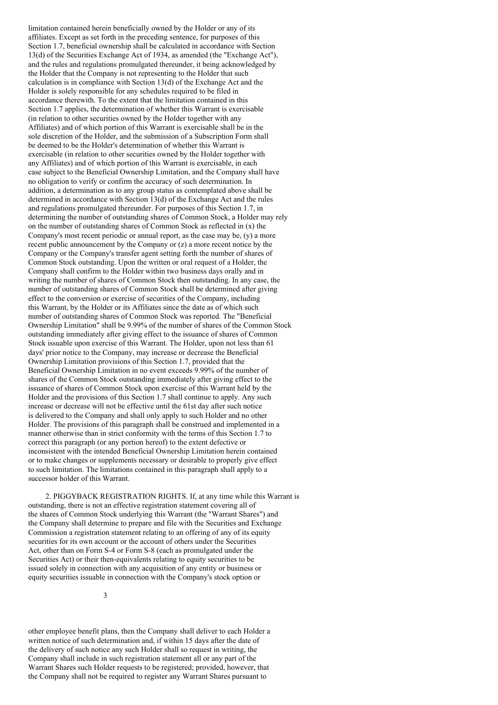limitation contained herein beneficially owned by the Holder or any of its affiliates. Except as set forth in the preceding sentence, for purposes of this Section 1.7, beneficial ownership shall be calculated in accordance with Section 13(d) of the Securities Exchange Act of 1934, as amended (the "Exchange Act"), and the rules and regulations promulgated thereunder, it being acknowledged by the Holder that the Company is not representing to the Holder that such calculation is in compliance with Section 13(d) of the Exchange Act and the Holder is solely responsible for any schedules required to be filed in accordance therewith. To the extent that the limitation contained in this Section 1.7 applies, the determination of whether this Warrant is exercisable (in relation to other securities owned by the Holder together with any Affiliates) and of which portion of this Warrant is exercisable shall be in the sole discretion of the Holder, and the submission of a Subscription Form shall be deemed to be the Holder's determination of whether this Warrant is exercisable (in relation to other securities owned by the Holder together with any Affiliates) and of which portion of this Warrant is exercisable, in each case subject to the Beneficial Ownership Limitation, and the Company shall have no obligation to verify or confirm the accuracy of such determination. In addition, a determination as to any group status as contemplated above shall be determined in accordance with Section 13(d) of the Exchange Act and the rules and regulations promulgated thereunder. For purposes of this Section 1.7, in determining the number of outstanding shares of Common Stock, a Holder may rely on the number of outstanding shares of Common Stock as reflected in (x) the Company's most recent periodic or annual report, as the case may be, (y) a more recent public announcement by the Company or (z) a more recent notice by the Company or the Company's transfer agent setting forth the number of shares of Common Stock outstanding. Upon the written or oral request of a Holder, the Company shall confirm to the Holder within two business days orally and in writing the number of shares of Common Stock then outstanding. In any case, the number of outstanding shares of Common Stock shall be determined after giving effect to the conversion or exercise of securities of the Company, including this Warrant, by the Holder or its Affiliates since the date as of which such number of outstanding shares of Common Stock was reported. The "Beneficial Ownership Limitation" shall be 9.99% of the number of shares of the Common Stock outstanding immediately after giving effect to the issuance of shares of Common Stock issuable upon exercise of this Warrant. The Holder, upon not less than 61 days' prior notice to the Company, may increase or decrease the Beneficial Ownership Limitation provisions of this Section 1.7, provided that the Beneficial Ownership Limitation in no event exceeds 9.99% of the number of shares of the Common Stock outstanding immediately after giving effect to the issuance of shares of Common Stock upon exercise of this Warrant held by the Holder and the provisions of this Section 1.7 shall continue to apply. Any such increase or decrease will not be effective until the 61st day after such notice is delivered to the Company and shall only apply to such Holder and no other Holder. The provisions of this paragraph shall be construed and implemented in a manner otherwise than in strict conformity with the terms of this Section 1.7 to correct this paragraph (or any portion hereof) to the extent defective or inconsistent with the intended Beneficial Ownership Limitation herein contained or to make changes or supplements necessary or desirable to properly give effect to such limitation. The limitations contained in this paragraph shall apply to a successor holder of this Warrant.

2. PIGGYBACK REGISTRATION RIGHTS. If, at any time while this Warrant is outstanding, there is not an effective registration statement covering all of the shares of Common Stock underlying this Warrant (the "Warrant Shares") and the Company shall determine to prepare and file with the Securities and Exchange Commission a registration statement relating to an offering of any of its equity securities for its own account or the account of others under the Securities Act, other than on Form S-4 or Form S-8 (each as promulgated under the Securities Act) or their then-equivalents relating to equity securities to be issued solely in connection with any acquisition of any entity or business or equity securities issuable in connection with the Company's stock option or

other employee benefit plans, then the Company shall deliver to each Holder a written notice of such determination and, if within 15 days after the date of the delivery of such notice any such Holder shall so request in writing, the Company shall include in such registration statement all or any part of the Warrant Shares such Holder requests to be registered; provided, however, that the Company shall not be required to register any Warrant Shares pursuant to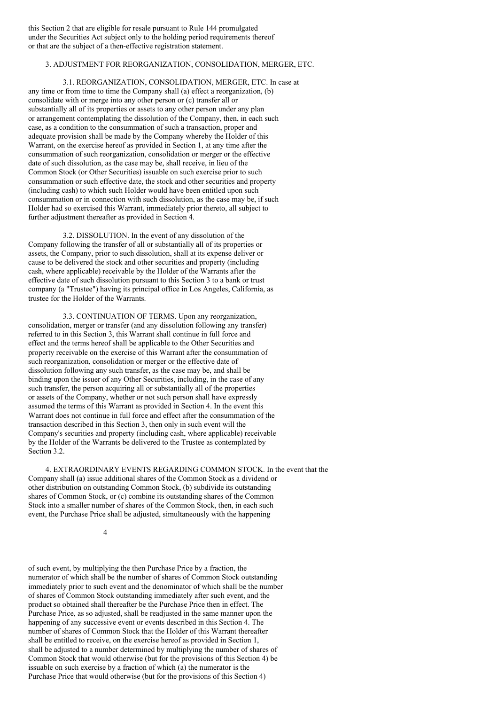this Section 2 that are eligible for resale pursuant to Rule 144 promulgated under the Securities Act subject only to the holding period requirements thereof or that are the subject of a then-effective registration statement.

# 3. ADJUSTMENT FOR REORGANIZATION, CONSOLIDATION, MERGER, ETC.

3.1. REORGANIZATION, CONSOLIDATION, MERGER, ETC. In case at any time or from time to time the Company shall (a) effect a reorganization, (b) consolidate with or merge into any other person or (c) transfer all or substantially all of its properties or assets to any other person under any plan or arrangement contemplating the dissolution of the Company, then, in each such case, as a condition to the consummation of such a transaction, proper and adequate provision shall be made by the Company whereby the Holder of this Warrant, on the exercise hereof as provided in Section 1, at any time after the consummation of such reorganization, consolidation or merger or the effective date of such dissolution, as the case may be, shall receive, in lieu of the Common Stock (or Other Securities) issuable on such exercise prior to such consummation or such effective date, the stock and other securities and property (including cash) to which such Holder would have been entitled upon such consummation or in connection with such dissolution, as the case may be, if such Holder had so exercised this Warrant, immediately prior thereto, all subject to further adjustment thereafter as provided in Section 4.

3.2. DISSOLUTION. In the event of any dissolution of the Company following the transfer of all or substantially all of its properties or assets, the Company, prior to such dissolution, shall at its expense deliver or cause to be delivered the stock and other securities and property (including cash, where applicable) receivable by the Holder of the Warrants after the effective date of such dissolution pursuant to this Section 3 to a bank or trust company (a "Trustee") having its principal office in Los Angeles, California, as trustee for the Holder of the Warrants.

3.3. CONTINUATION OF TERMS. Upon any reorganization, consolidation, merger or transfer (and any dissolution following any transfer) referred to in this Section 3, this Warrant shall continue in full force and effect and the terms hereof shall be applicable to the Other Securities and property receivable on the exercise of this Warrant after the consummation of such reorganization, consolidation or merger or the effective date of dissolution following any such transfer, as the case may be, and shall be binding upon the issuer of any Other Securities, including, in the case of any such transfer, the person acquiring all or substantially all of the properties or assets of the Company, whether or not such person shall have expressly assumed the terms of this Warrant as provided in Section 4. In the event this Warrant does not continue in full force and effect after the consummation of the transaction described in this Section 3, then only in such event will the Company's securities and property (including cash, where applicable) receivable by the Holder of the Warrants be delivered to the Trustee as contemplated by Section 3.2.

4. EXTRAORDINARY EVENTS REGARDING COMMON STOCK. In the event that the Company shall (a) issue additional shares of the Common Stock as a dividend or other distribution on outstanding Common Stock, (b) subdivide its outstanding shares of Common Stock, or (c) combine its outstanding shares of the Common Stock into a smaller number of shares of the Common Stock, then, in each such event, the Purchase Price shall be adjusted, simultaneously with the happening

4

of such event, by multiplying the then Purchase Price by a fraction, the numerator of which shall be the number of shares of Common Stock outstanding immediately prior to such event and the denominator of which shall be the number of shares of Common Stock outstanding immediately after such event, and the product so obtained shall thereafter be the Purchase Price then in effect. The Purchase Price, as so adjusted, shall be readjusted in the same manner upon the happening of any successive event or events described in this Section 4. The number of shares of Common Stock that the Holder of this Warrant thereafter shall be entitled to receive, on the exercise hereof as provided in Section 1, shall be adjusted to a number determined by multiplying the number of shares of Common Stock that would otherwise (but for the provisions of this Section 4) be issuable on such exercise by a fraction of which (a) the numerator is the Purchase Price that would otherwise (but for the provisions of this Section 4)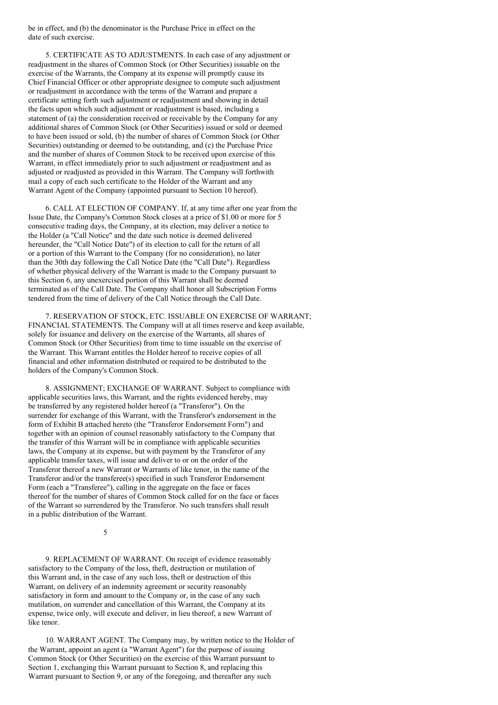be in effect, and (b) the denominator is the Purchase Price in effect on the date of such exercise.

5. CERTIFICATE AS TO ADJUSTMENTS. In each case of any adjustment or readjustment in the shares of Common Stock (or Other Securities) issuable on the exercise of the Warrants, the Company at its expense will promptly cause its Chief Financial Officer or other appropriate designee to compute such adjustment or readjustment in accordance with the terms of the Warrant and prepare a certificate setting forth such adjustment or readjustment and showing in detail the facts upon which such adjustment or readjustment is based, including a statement of (a) the consideration received or receivable by the Company for any additional shares of Common Stock (or Other Securities) issued or sold or deemed to have been issued or sold, (b) the number of shares of Common Stock (or Other Securities) outstanding or deemed to be outstanding, and (c) the Purchase Price and the number of shares of Common Stock to be received upon exercise of this Warrant, in effect immediately prior to such adjustment or readjustment and as adjusted or readjusted as provided in this Warrant. The Company will forthwith mail a copy of each such certificate to the Holder of the Warrant and any Warrant Agent of the Company (appointed pursuant to Section 10 hereof).

6. CALL AT ELECTION OF COMPANY. If, at any time after one year from the Issue Date, the Company's Common Stock closes at a price of \$1.00 or more for 5 consecutive trading days, the Company, at its election, may deliver a notice to the Holder (a "Call Notice" and the date such notice is deemed delivered hereunder, the "Call Notice Date") of its election to call for the return of all or a portion of this Warrant to the Company (for no consideration), no later than the 30th day following the Call Notice Date (the "Call Date"). Regardless of whether physical delivery of the Warrant is made to the Company pursuant to this Section 6, any unexercised portion of this Warrant shall be deemed terminated as of the Call Date. The Company shall honor all Subscription Forms tendered from the time of delivery of the Call Notice through the Call Date.

7. RESERVATION OF STOCK, ETC. ISSUABLE ON EXERCISE OF WARRANT; FINANCIAL STATEMENTS. The Company will at all times reserve and keep available, solely for issuance and delivery on the exercise of the Warrants, all shares of Common Stock (or Other Securities) from time to time issuable on the exercise of the Warrant. This Warrant entitles the Holder hereof to receive copies of all financial and other information distributed or required to be distributed to the holders of the Company's Common Stock.

8. ASSIGNMENT; EXCHANGE OF WARRANT. Subject to compliance with applicable securities laws, this Warrant, and the rights evidenced hereby, may be transferred by any registered holder hereof (a "Transferor"). On the surrender for exchange of this Warrant, with the Transferor's endorsement in the form of Exhibit B attached hereto (the "Transferor Endorsement Form") and together with an opinion of counsel reasonably satisfactory to the Company that the transfer of this Warrant will be in compliance with applicable securities laws, the Company at its expense, but with payment by the Transferor of any applicable transfer taxes, will issue and deliver to or on the order of the Transferor thereof a new Warrant or Warrants of like tenor, in the name of the Transferor and/or the transferee(s) specified in such Transferor Endorsement Form (each a "Transferee"), calling in the aggregate on the face or faces thereof for the number of shares of Common Stock called for on the face or faces of the Warrant so surrendered by the Transferor. No such transfers shall result in a public distribution of the Warrant.

5

9. REPLACEMENT OF WARRANT. On receipt of evidence reasonably satisfactory to the Company of the loss, theft, destruction or mutilation of this Warrant and, in the case of any such loss, theft or destruction of this Warrant, on delivery of an indemnity agreement or security reasonably satisfactory in form and amount to the Company or, in the case of any such mutilation, on surrender and cancellation of this Warrant, the Company at its expense, twice only, will execute and deliver, in lieu thereof, a new Warrant of like tenor.

10. WARRANT AGENT. The Company may, by written notice to the Holder of the Warrant, appoint an agent (a "Warrant Agent") for the purpose of issuing Common Stock (or Other Securities) on the exercise of this Warrant pursuant to Section 1, exchanging this Warrant pursuant to Section 8, and replacing this Warrant pursuant to Section 9, or any of the foregoing, and thereafter any such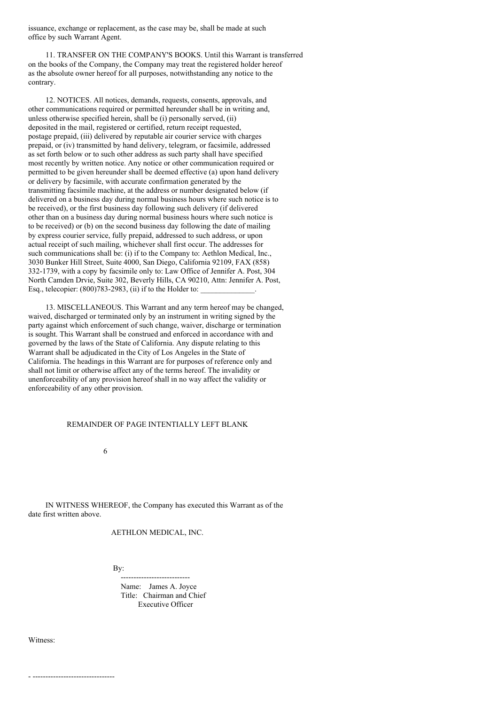issuance, exchange or replacement, as the case may be, shall be made at such office by such Warrant Agent.

11. TRANSFER ON THE COMPANY'S BOOKS. Until this Warrant is transferred on the books of the Company, the Company may treat the registered holder hereof as the absolute owner hereof for all purposes, notwithstanding any notice to the contrary.

12. NOTICES. All notices, demands, requests, consents, approvals, and other communications required or permitted hereunder shall be in writing and, unless otherwise specified herein, shall be (i) personally served, (ii) deposited in the mail, registered or certified, return receipt requested, postage prepaid, (iii) delivered by reputable air courier service with charges prepaid, or (iv) transmitted by hand delivery, telegram, or facsimile, addressed as set forth below or to such other address as such party shall have specified most recently by written notice. Any notice or other communication required or permitted to be given hereunder shall be deemed effective (a) upon hand delivery or delivery by facsimile, with accurate confirmation generated by the transmitting facsimile machine, at the address or number designated below (if delivered on a business day during normal business hours where such notice is to be received), or the first business day following such delivery (if delivered other than on a business day during normal business hours where such notice is to be received) or (b) on the second business day following the date of mailing by express courier service, fully prepaid, addressed to such address, or upon actual receipt of such mailing, whichever shall first occur. The addresses for such communications shall be: (i) if to the Company to: Aethlon Medical, Inc., 3030 Bunker Hill Street, Suite 4000, San Diego, California 92109, FAX (858) 332-1739, with a copy by facsimile only to: Law Office of Jennifer A. Post, 304 North Camden Drvie, Suite 302, Beverly Hills, CA 90210, Attn: Jennifer A. Post, Esq., telecopier:  $(800)783-2983$ ,  $(ii)$  if to the Holder to:

13. MISCELLANEOUS. This Warrant and any term hereof may be changed, waived, discharged or terminated only by an instrument in writing signed by the party against which enforcement of such change, waiver, discharge or termination is sought. This Warrant shall be construed and enforced in accordance with and governed by the laws of the State of California. Any dispute relating to this Warrant shall be adjudicated in the City of Los Angeles in the State of California. The headings in this Warrant are for purposes of reference only and shall not limit or otherwise affect any of the terms hereof. The invalidity or unenforceability of any provision hereof shall in no way affect the validity or enforceability of any other provision.

#### REMAINDER OF PAGE INTENTIALLY LEFT BLANK

6

IN WITNESS WHEREOF, the Company has executed this Warrant as of the date first written above.

AETHLON MEDICAL, INC.

By:

--------------------------- Name: James A. Joyce Title: Chairman and Chief Executive Officer

Witness: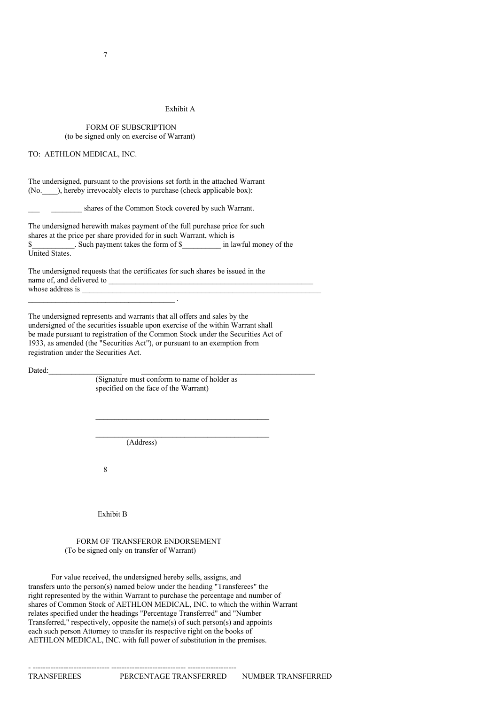# Exhibit A

## FORM OF SUBSCRIPTION (to be signed only on exercise of Warrant)

## TO: AETHLON MEDICAL, INC.

The undersigned, pursuant to the provisions set forth in the attached Warrant (No. ), hereby irrevocably elects to purchase (check applicable box):

shares of the Common Stock covered by such Warrant.

The undersigned herewith makes payment of the full purchase price for such shares at the price per share provided for in such Warrant, which is \$ Such payment takes the form of \$  $\qquad \qquad$  in lawful money of the United States.

The undersigned requests that the certificates for such shares be issued in the name of, and delivered to whose address is  $\blacksquare$ 

The undersigned represents and warrants that all offers and sales by the undersigned of the securities issuable upon exercise of the within Warrant shall be made pursuant to registration of the Common Stock under the Securities Act of 1933, as amended (the "Securities Act"), or pursuant to an exemption from registration under the Securities Act.

Dated:

(Signature must conform to name of holder as specified on the face of the Warrant)

 $\mathcal{L}_\text{max}$  and  $\mathcal{L}_\text{max}$  and  $\mathcal{L}_\text{max}$ 

(Address)

8

 $\overline{\phantom{a}}$  . The contract of the contract of the contract of the contract of the contract of the contract of the contract of the contract of the contract of the contract of the contract of the contract of the contract of

Exhibit B

FORM OF TRANSFEROR ENDORSEMENT (To be signed only on transfer of Warrant)

- ------------------------------ ----------------------------- -------------------

For value received, the undersigned hereby sells, assigns, and transfers unto the person(s) named below under the heading "Transferees" the right represented by the within Warrant to purchase the percentage and number of shares of Common Stock of AETHLON MEDICAL, INC. to which the within Warrant relates specified under the headings "Percentage Transferred" and "Number Transferred," respectively, opposite the name(s) of such person(s) and appoints each such person Attorney to transfer its respective right on the books of AETHLON MEDICAL, INC. with full power of substitution in the premises.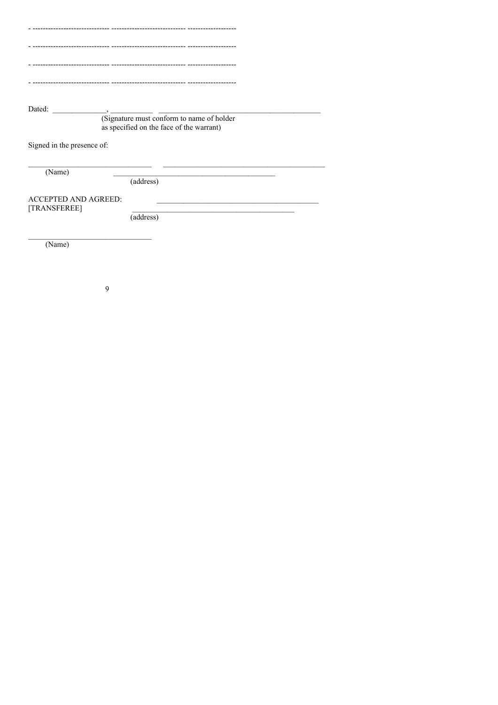| Dated:<br>$\overline{\phantom{a}}$ $\overline{\phantom{a}}$ $\overline{\phantom{a}}$ $\overline{\phantom{a}}$ $\overline{\phantom{a}}$ $\overline{\phantom{a}}$ $\overline{\phantom{a}}$ $\overline{\phantom{a}}$ $\overline{\phantom{a}}$ $\overline{\phantom{a}}$ $\overline{\phantom{a}}$ $\overline{\phantom{a}}$ $\overline{\phantom{a}}$ $\overline{\phantom{a}}$ $\overline{\phantom{a}}$ $\overline{\phantom{a}}$ $\overline{\phantom{a}}$ $\overline{\phantom{a}}$ $\overline{\$<br>(Signature must conform to name of holder<br>as specified on the face of the warrant) |
|------------------------------------------------------------------------------------------------------------------------------------------------------------------------------------------------------------------------------------------------------------------------------------------------------------------------------------------------------------------------------------------------------------------------------------------------------------------------------------------------------------------------------------------------------------------------------------|
| Signed in the presence of:                                                                                                                                                                                                                                                                                                                                                                                                                                                                                                                                                         |
| (Name)                                                                                                                                                                                                                                                                                                                                                                                                                                                                                                                                                                             |
| (address)                                                                                                                                                                                                                                                                                                                                                                                                                                                                                                                                                                          |
| <b>ACCEPTED AND AGREED:</b>                                                                                                                                                                                                                                                                                                                                                                                                                                                                                                                                                        |
| [TRANSFEREE]<br>(address)                                                                                                                                                                                                                                                                                                                                                                                                                                                                                                                                                          |
| (Name)                                                                                                                                                                                                                                                                                                                                                                                                                                                                                                                                                                             |

 $\overline{9}$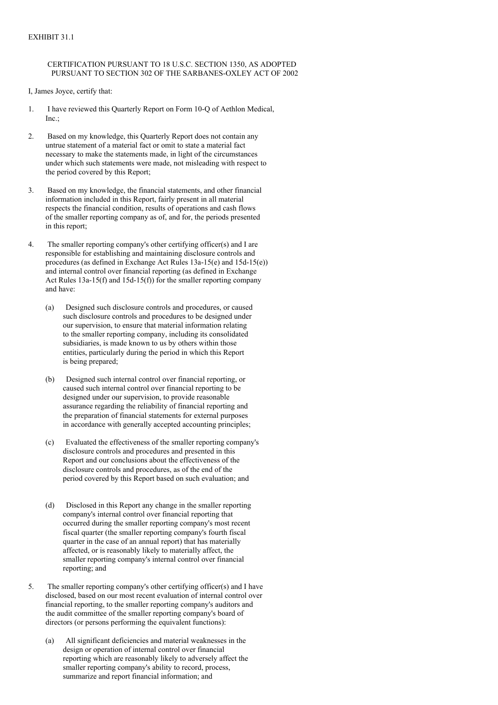# CERTIFICATION PURSUANT TO 18 U.S.C. SECTION 1350, AS ADOPTED PURSUANT TO SECTION 302 OF THE SARBANES-OXLEY ACT OF 2002

I, James Joyce, certify that:

- 1. I have reviewed this Quarterly Report on Form 10-Q of Aethlon Medical,  $Inc.$
- 2. Based on my knowledge, this Quarterly Report does not contain any untrue statement of a material fact or omit to state a material fact necessary to make the statements made, in light of the circumstances under which such statements were made, not misleading with respect to the period covered by this Report;
- 3. Based on my knowledge, the financial statements, and other financial information included in this Report, fairly present in all material respects the financial condition, results of operations and cash flows of the smaller reporting company as of, and for, the periods presented in this report;
- 4. The smaller reporting company's other certifying officer(s) and I are responsible for establishing and maintaining disclosure controls and procedures (as defined in Exchange Act Rules 13a-15(e) and 15d-15(e)) and internal control over financial reporting (as defined in Exchange Act Rules 13a-15(f) and 15d-15(f)) for the smaller reporting company and have:
	- (a) Designed such disclosure controls and procedures, or caused such disclosure controls and procedures to be designed under our supervision, to ensure that material information relating to the smaller reporting company, including its consolidated subsidiaries, is made known to us by others within those entities, particularly during the period in which this Report is being prepared;
	- (b) Designed such internal control over financial reporting, or caused such internal control over financial reporting to be designed under our supervision, to provide reasonable assurance regarding the reliability of financial reporting and the preparation of financial statements for external purposes in accordance with generally accepted accounting principles;
	- (c) Evaluated the effectiveness of the smaller reporting company's disclosure controls and procedures and presented in this Report and our conclusions about the effectiveness of the disclosure controls and procedures, as of the end of the period covered by this Report based on such evaluation; and
	- (d) Disclosed in this Report any change in the smaller reporting company's internal control over financial reporting that occurred during the smaller reporting company's most recent fiscal quarter (the smaller reporting company's fourth fiscal quarter in the case of an annual report) that has materially affected, or is reasonably likely to materially affect, the smaller reporting company's internal control over financial reporting; and
- 5. The smaller reporting company's other certifying officer(s) and I have disclosed, based on our most recent evaluation of internal control over financial reporting, to the smaller reporting company's auditors and the audit committee of the smaller reporting company's board of directors (or persons performing the equivalent functions):
	- (a) All significant deficiencies and material weaknesses in the design or operation of internal control over financial reporting which are reasonably likely to adversely affect the smaller reporting company's ability to record, process, summarize and report financial information; and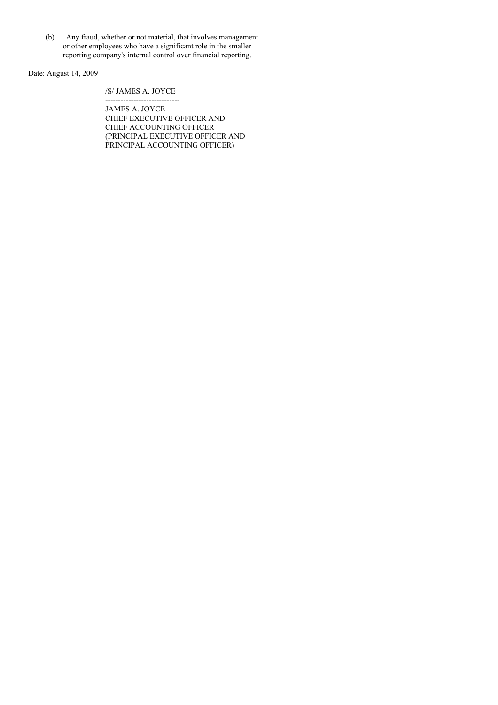(b) Any fraud, whether or not material, that involves management or other employees who have a significant role in the smaller reporting company's internal control over financial reporting.

Date: August 14, 2009

# /S/ JAMES A. JOYCE

----------------------------- JAMES A. JOYCE CHIEF EXECUTIVE OFFICER AND CHIEF ACCOUNTING OFFICER (PRINCIPAL EXECUTIVE OFFICER AND PRINCIPAL ACCOUNTING OFFICER)